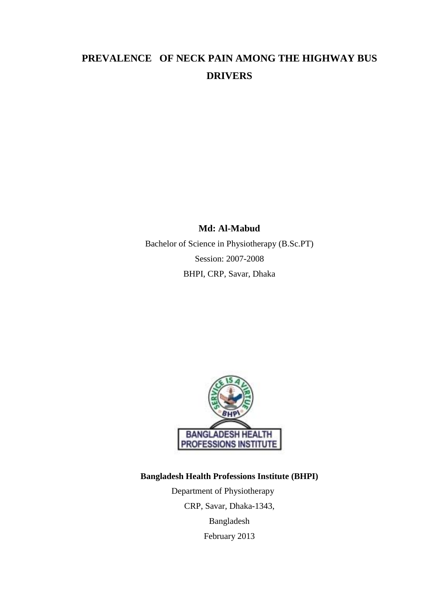# **PREVALENCE OF NECK PAIN AMONG THE HIGHWAY BUS DRIVERS**

## **Md: Al-Mabud**

Bachelor of Science in Physiotherapy (B.Sc.PT) Session: 2007-2008 BHPI, CRP, Savar, Dhaka



# **Bangladesh Health Professions Institute (BHPI)**

Department of Physiotherapy CRP, Savar, Dhaka-1343, Bangladesh February 2013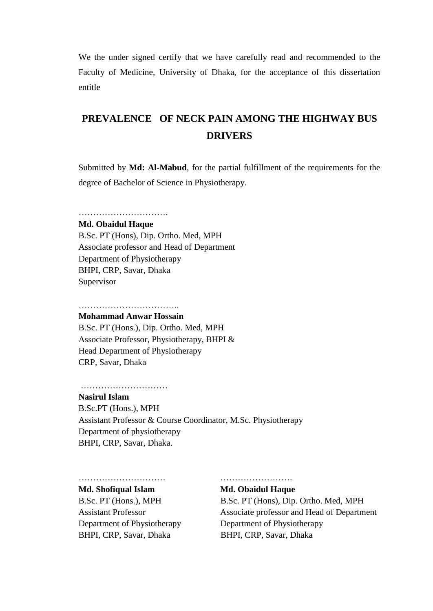We the under signed certify that we have carefully read and recommended to the Faculty of Medicine, University of Dhaka, for the acceptance of this dissertation entitle

# **PREVALENCE OF NECK PAIN AMONG THE HIGHWAY BUS DRIVERS**

Submitted by **Md: Al-Mabud**, for the partial fulfillment of the requirements for the degree of Bachelor of Science in Physiotherapy.

# ………………………….

#### **Md. Obaidul Haque**

B.Sc. PT (Hons), Dip. Ortho. Med, MPH Associate professor and Head of Department Department of Physiotherapy BHPI, CRP, Savar, Dhaka Supervisor

#### …………………………….. **Mohammad Anwar Hossain**

B.Sc. PT (Hons.), Dip. Ortho. Med, MPH Associate Professor, Physiotherapy, BHPI & Head Department of Physiotherapy CRP, Savar, Dhaka

### ………………………………………

#### **Nasirul Islam**

B.Sc.PT (Hons.), MPH Assistant Professor & Course Coordinator, M.Sc. Physiotherapy Department of physiotherapy BHPI, CRP, Savar, Dhaka.

#### **Md. Shofiqual Islam Md. Obaidul Haque**

Department of Physiotherapy Department of Physiotherapy BHPI, CRP, Savar, Dhaka BHPI, CRP, Savar, Dhaka

………………………… …………………….

B.Sc. PT (Hons.), MPH B.Sc. PT (Hons), Dip. Ortho. Med, MPH Assistant Professor Associate professor and Head of Department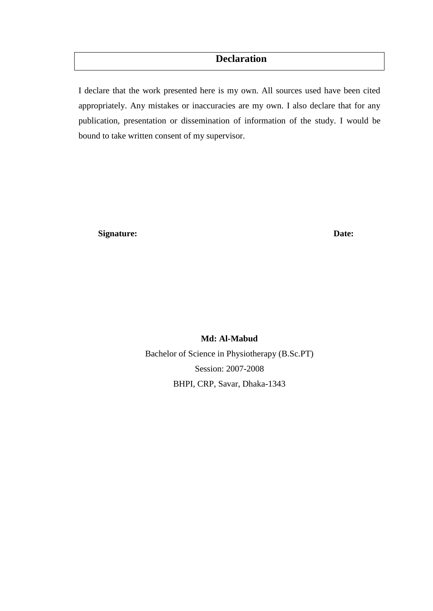# **Declaration**

I declare that the work presented here is my own. All sources used have been cited appropriately. Any mistakes or inaccuracies are my own. I also declare that for any publication, presentation or dissemination of information of the study. I would be bound to take written consent of my supervisor.

**Signature:** Date:

**Md: Al-Mabud** Bachelor of Science in Physiotherapy (B.Sc.PT) Session: 2007-2008 BHPI, CRP, Savar, Dhaka-1343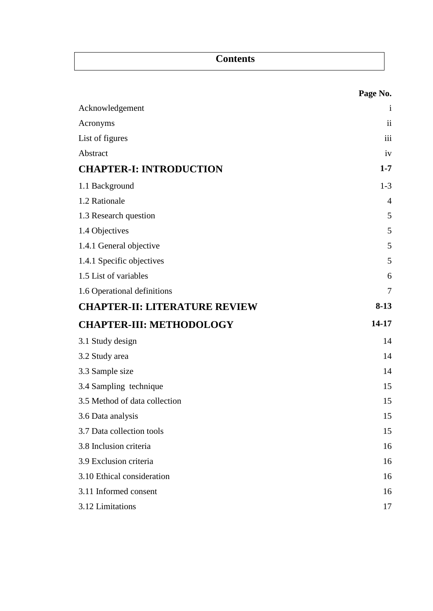|                                      | Page No.       |
|--------------------------------------|----------------|
| Acknowledgement                      | $\mathbf{i}$   |
| Acronyms                             | $\mathbf{ii}$  |
| List of figures                      | iii            |
| Abstract                             | iv             |
| <b>CHAPTER-I: INTRODUCTION</b>       | $1 - 7$        |
| 1.1 Background                       | $1 - 3$        |
| 1.2 Rationale                        | $\overline{4}$ |
| 1.3 Research question                | 5              |
| 1.4 Objectives                       | 5              |
| 1.4.1 General objective              | 5              |
| 1.4.1 Specific objectives            | 5              |
| 1.5 List of variables                | 6              |
| 1.6 Operational definitions          | 7              |
| <b>CHAPTER-II: LITERATURE REVIEW</b> | $8-13$         |
| <b>CHAPTER-III: METHODOLOGY</b>      | 14-17          |
| 3.1 Study design                     | 14             |
| 3.2 Study area                       | 14             |
| 3.3 Sample size                      | 14             |
| 3.4 Sampling technique               | 15             |
| 3.5 Method of data collection        | 15             |
| 3.6 Data analysis                    | 15             |
| 3.7 Data collection tools            | 15             |
| 3.8 Inclusion criteria               | 16             |
| 3.9 Exclusion criteria               | 16             |
| 3.10 Ethical consideration           | 16             |
| 3.11 Informed consent                | 16             |
| 3.12 Limitations                     | 17             |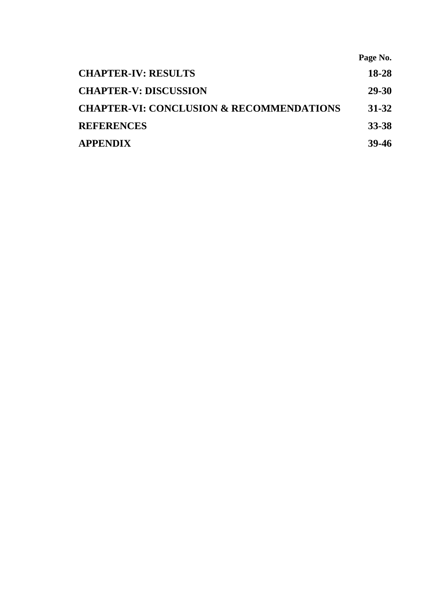|                                                     | Page No.     |
|-----------------------------------------------------|--------------|
| <b>CHAPTER-IV: RESULTS</b>                          | 18-28        |
| <b>CHAPTER-V: DISCUSSION</b>                        | <b>29-30</b> |
| <b>CHAPTER-VI: CONCLUSION &amp; RECOMMENDATIONS</b> | 31-32        |
| <b>REFERENCES</b>                                   | 33-38        |
| <b>APPENDIX</b>                                     | 39-46        |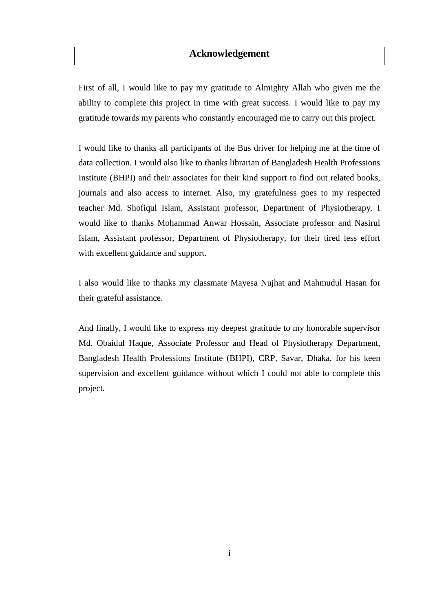# **Acknowledgement**

First of all, I would like to pay my gratitude to Almighty Allah who given me the ability to complete this project in time with great success. I would like to pay my gratitude towards my parents who constantly encouraged me to carry out this project.

I would like to thanks all participants of the Bus driver for helping me at the time of data collection. I would also like to thanks librarian of Bangladesh Health Professions Institute (BHPI) and their associates for their kind support to find out related books, journals and also access to internet. Also, my gratefulness goes to my respected teacher Md. Shofiqul Islam, Assistant professor, Department of Physiotherapy. I would like to thanks Mohammad Anwar Hossain, Associate professor and Nasirul Islam, Assistant professor, Department of Physiotherapy, for their tired less effort with excellent guidance and support.

I also would like to thanks my classmate Mayesa Nujhat and Mahmudul Hasan for their grateful assistance.

And finally, I would like to express my deepest gratitude to my honorable supervisor Md. Obaidul Haque, Associate Professor and Head of Physiotherapy Department, Bangladesh Health Professions Institute (BHPI), CRP, Savar, Dhaka, for his keen supervision and excellent guidance without which I could not able to complete this project.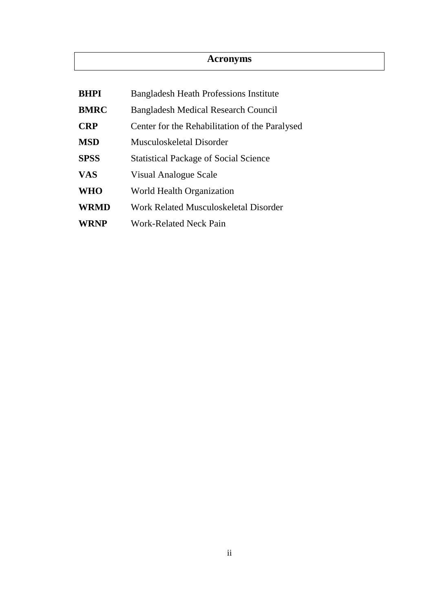# **Acronyms**

| <b>BHPI</b> | <b>Bangladesh Heath Professions Institute</b>  |  |
|-------------|------------------------------------------------|--|
| <b>BMRC</b> | <b>Bangladesh Medical Research Council</b>     |  |
| <b>CRP</b>  | Center for the Rehabilitation of the Paralysed |  |
| <b>MSD</b>  | Musculoskeletal Disorder                       |  |
| <b>SPSS</b> | <b>Statistical Package of Social Science</b>   |  |
| <b>VAS</b>  | Visual Analogue Scale                          |  |
| <b>WHO</b>  | World Health Organization                      |  |
| <b>WRMD</b> | Work Related Musculoskeletal Disorder          |  |
| <b>WRNP</b> | <b>Work-Related Neck Pain</b>                  |  |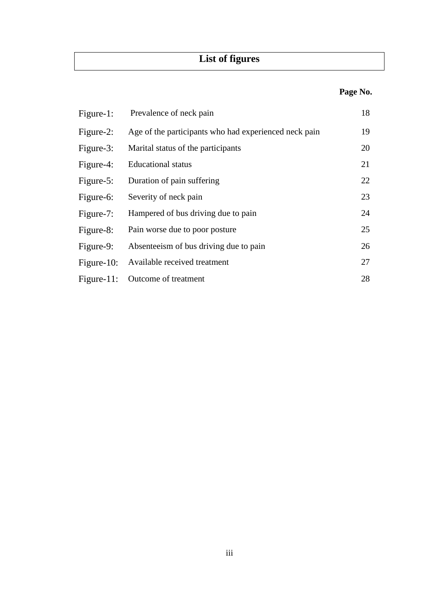# **List of figures**

# **Page No.**

| Figure-1:  | Prevalence of neck pain                               | 18 |
|------------|-------------------------------------------------------|----|
| Figure-2:  | Age of the participants who had experienced neck pain | 19 |
| Figure-3:  | Marital status of the participants                    | 20 |
| Figure-4:  | <b>Educational</b> status                             | 21 |
| Figure-5:  | Duration of pain suffering                            | 22 |
| Figure-6:  | Severity of neck pain                                 | 23 |
| Figure-7:  | Hampered of bus driving due to pain                   | 24 |
| Figure-8:  | Pain worse due to poor posture                        | 25 |
| Figure-9:  | Absenteelism of bus driving due to pain               | 26 |
| Figure-10: | Available received treatment                          | 27 |
| Figure-11: | Outcome of treatment                                  | 28 |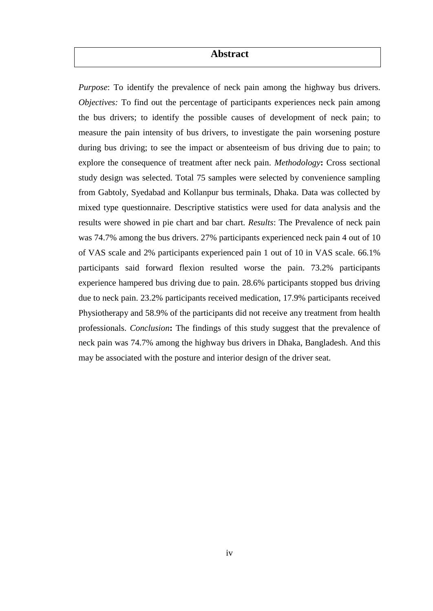# **Abstract**

*Purpose*: To identify the prevalence of neck pain among the highway bus drivers. *Objectives:* To find out the percentage of participants experiences neck pain among the bus drivers; to identify the possible causes of development of neck pain; to measure the pain intensity of bus drivers, to investigate the pain worsening posture during bus driving; to see the impact or absenteeism of bus driving due to pain; to explore the consequence of treatment after neck pain. *Methodology***:** Cross sectional study design was selected. Total 75 samples were selected by convenience sampling from Gabtoly, Syedabad and Kollanpur bus terminals, Dhaka. Data was collected by mixed type questionnaire. Descriptive statistics were used for data analysis and the results were showed in pie chart and bar chart. *Results*: The Prevalence of neck pain was 74.7% among the bus drivers. 27% participants experienced neck pain 4 out of 10 of VAS scale and 2% participants experienced pain 1 out of 10 in VAS scale. 66.1% participants said forward flexion resulted worse the pain. 73.2% participants experience hampered bus driving due to pain. 28.6% participants stopped bus driving due to neck pain. 23.2% participants received medication, 17.9% participants received Physiotherapy and 58.9% of the participants did not receive any treatment from health professionals. *Conclusion***:** The findings of this study suggest that the prevalence of neck pain was 74.7% among the highway bus drivers in Dhaka, Bangladesh. And this may be associated with the posture and interior design of the driver seat.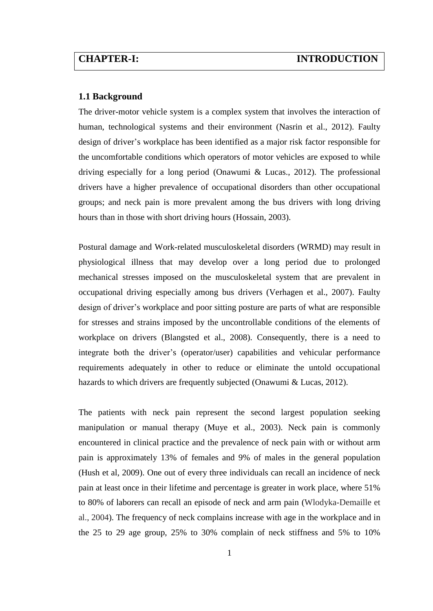#### **1.1 Background**

The driver-motor vehicle system is a complex system that involves the interaction of human, technological systems and their environment (Nasrin et al., 2012). Faulty design of driver's workplace has been identified as a major risk factor responsible for the uncomfortable conditions which operators of motor vehicles are exposed to while driving especially for a long period (Onawumi & Lucas., 2012). The professional drivers have a higher prevalence of occupational disorders than other occupational groups; and neck pain is more prevalent among the bus drivers with long driving hours than in those with short driving hours (Hossain, 2003).

Postural damage and Work-related musculoskeletal disorders (WRMD) may result in physiological illness that may develop over a long period due to prolonged mechanical stresses imposed on the musculoskeletal system that are prevalent in occupational driving especially among bus drivers (Verhagen et al., 2007). Faulty design of driver's workplace and poor sitting posture are parts of what are responsible for stresses and strains imposed by the uncontrollable conditions of the elements of workplace on drivers (Blangsted et al., 2008). Consequently, there is a need to integrate both the driver's (operator/user) capabilities and vehicular performance requirements adequately in other to reduce or eliminate the untold occupational hazards to which drivers are frequently subjected (Onawumi & Lucas, 2012).

The patients with neck pain represent the second largest population seeking manipulation or manual therapy (Muye et al., 2003). Neck pain is commonly encountered in clinical practice and the prevalence of neck pain with or without arm pain is approximately 13% of females and 9% of males in the general population (Hush et al, 2009). One out of every three individuals can recall an incidence of neck pain at least once in their lifetime and percentage is greater in work place, where 51% to 80% of laborers can recall an episode of neck and arm pain (Wlodyka-Demaille et al., 2004). The frequency of neck complains increase with age in the workplace and in the 25 to 29 age group, 25% to 30% complain of neck stiffness and 5% to 10%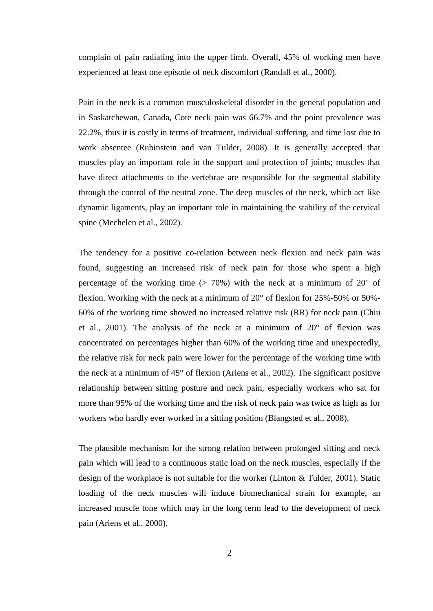complain of pain radiating into the upper limb. Overall, 45% of working men have experienced at least one episode of neck discomfort (Randall et al., 2000).

Pain in the neck is a common musculoskeletal disorder in the general population and in Saskatchewan, Canada, Cote neck pain was 66.7% and the point prevalence was 22.2%, thus it is costly in terms of treatment, individual suffering, and time lost due to work absentee (Rubinstein and van Tulder, 2008). It is generally accepted that muscles play an important role in the support and protection of joints; muscles that have direct attachments to the vertebrae are responsible for the segmental stability through the control of the neutral zone. The deep muscles of the neck, which act like dynamic ligaments, play an important role in maintaining the stability of the cervical spine (Mechelen et al., 2002).

The tendency for a positive co-relation between neck flexion and neck pain was found, suggesting an increased risk of neck pain for those who spent a high percentage of the working time ( $> 70\%$ ) with the neck at a minimum of 20 $^{\circ}$  of flexion. Working with the neck at a minimum of 20° of flexion for 25%-50% or 50%- 60% of the working time showed no increased relative risk (RR) for neck pain (Chiu et al., 2001). The analysis of the neck at a minimum of 20° of flexion was concentrated on percentages higher than 60% of the working time and unexpectedly, the relative risk for neck pain were lower for the percentage of the working time with the neck at a minimum of 45° of flexion (Ariens et al., 2002). The significant positive relationship between sitting posture and neck pain, especially workers who sat for more than 95% of the working time and the risk of neck pain was twice as high as for workers who hardly ever worked in a sitting position (Blangsted et al., 2008).

The plausible mechanism for the strong relation between prolonged sitting and neck pain which will lead to a continuous static load on the neck muscles, especially if the design of the workplace is not suitable for the worker (Linton & Tulder, 2001). Static loading of the neck muscles will induce biomechanical strain for example, an increased muscle tone which may in the long term lead to the development of neck pain (Ariens et al., 2000).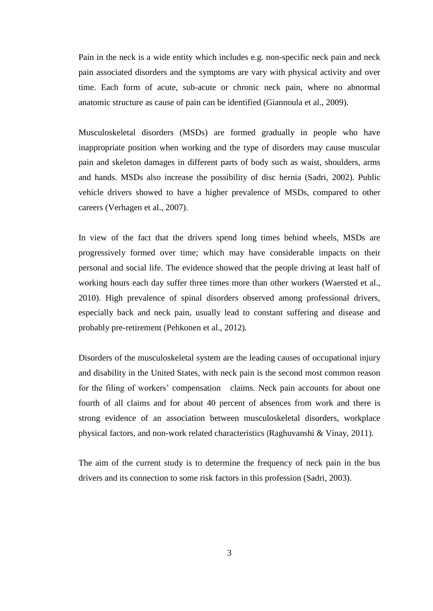Pain in the neck is a wide entity which includes e.g. non-specific neck pain and neck pain associated disorders and the symptoms are vary with physical activity and over time. Each form of acute, sub-acute or chronic neck pain, where no abnormal anatomic structure as cause of pain can be identified (Giannoula et al., 2009).

Musculoskeletal disorders (MSDs) are formed gradually in people who have inappropriate position when working and the type of disorders may cause muscular pain and skeleton damages in different parts of body such as waist, shoulders, arms and hands. MSDs also increase the possibility of disc hernia (Sadri, 2002). Public vehicle drivers showed to have a higher prevalence of MSDs, compared to other careers (Verhagen et al., 2007).

In view of the fact that the drivers spend long times behind wheels, MSDs are progressively formed over time; which may have considerable impacts on their personal and social life. The evidence showed that the people driving at least half of working hours each day suffer three times more than other workers (Waersted et al., 2010). High prevalence of spinal disorders observed among professional drivers, especially back and neck pain, usually lead to constant suffering and disease and probably pre-retirement (Pehkonen et al., 2012).

Disorders of the musculoskeletal system are the leading causes of occupational injury and disability in the United States, with neck pain is the second most common reason for the filing of workers' compensation claims. Neck pain accounts for about one fourth of all claims and for about 40 percent of absences from work and there is strong evidence of an association between musculoskeletal disorders, workplace physical factors, and non-work related characteristics (Raghuvanshi & Vinay, 2011).

The aim of the current study is to determine the frequency of neck pain in the bus drivers and its connection to some risk factors in this profession (Sadri, 2003).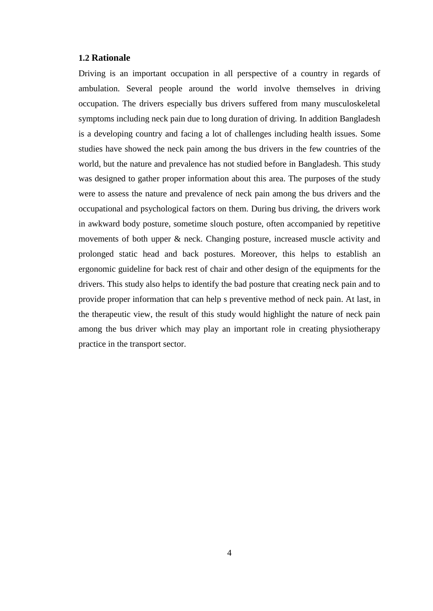#### **1.2 Rationale**

Driving is an important occupation in all perspective of a country in regards of ambulation. Several people around the world involve themselves in driving occupation. The drivers especially bus drivers suffered from many musculoskeletal symptoms including neck pain due to long duration of driving. In addition Bangladesh is a developing country and facing a lot of challenges including health issues. Some studies have showed the neck pain among the bus drivers in the few countries of the world, but the nature and prevalence has not studied before in Bangladesh. This study was designed to gather proper information about this area. The purposes of the study were to assess the nature and prevalence of neck pain among the bus drivers and the occupational and psychological factors on them. During bus driving, the drivers work in awkward body posture, sometime slouch posture, often accompanied by repetitive movements of both upper & neck. Changing posture, increased muscle activity and prolonged static head and back postures. Moreover, this helps to establish an ergonomic guideline for back rest of chair and other design of the equipments for the drivers. This study also helps to identify the bad posture that creating neck pain and to provide proper information that can help s preventive method of neck pain. At last, in the therapeutic view, the result of this study would highlight the nature of neck pain among the bus driver which may play an important role in creating physiotherapy practice in the transport sector.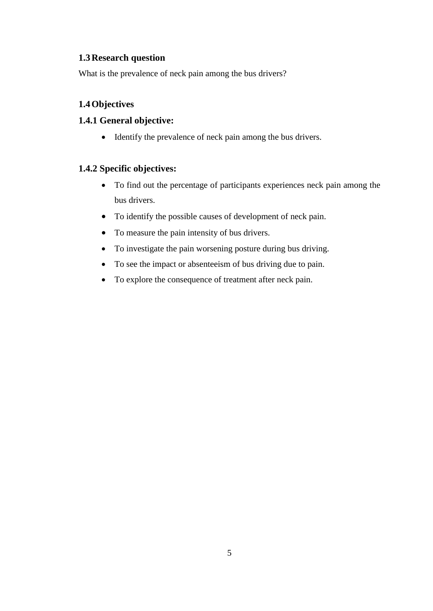# **1.3Research question**

What is the prevalence of neck pain among the bus drivers?

# **1.4Objectives**

## **1.4.1 General objective:**

Identify the prevalence of neck pain among the bus drivers.

## **1.4.2 Specific objectives:**

- To find out the percentage of participants experiences neck pain among the bus drivers.
- To identify the possible causes of development of neck pain.
- To measure the pain intensity of bus drivers.
- To investigate the pain worsening posture during bus driving.
- To see the impact or absenteeism of bus driving due to pain.
- To explore the consequence of treatment after neck pain.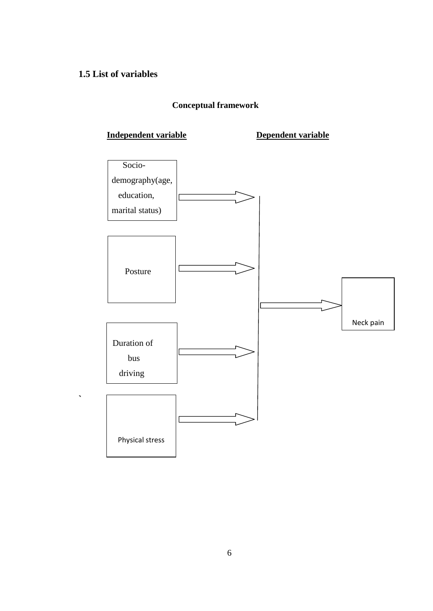# **1.5 List of variables**

**`**

# **Conceptual framework**

# **Independent variable Dependent variable**

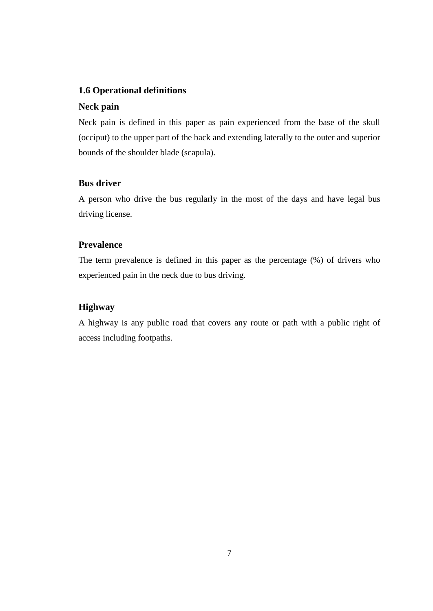## **1.6 Operational definitions**

### **Neck pain**

Neck pain is defined in this paper as pain experienced from the base of the skull (occiput) to the upper part of the back and extending laterally to the outer and superior bounds of the shoulder blade (scapula).

## **Bus driver**

A person who drive the bus regularly in the most of the days and have legal bus driving license.

### **Prevalence**

The term prevalence is defined in this paper as the percentage (%) of drivers who experienced pain in the neck due to bus driving.

## **Highway**

A highway is any public road that covers any route or path with a public right of access including footpaths.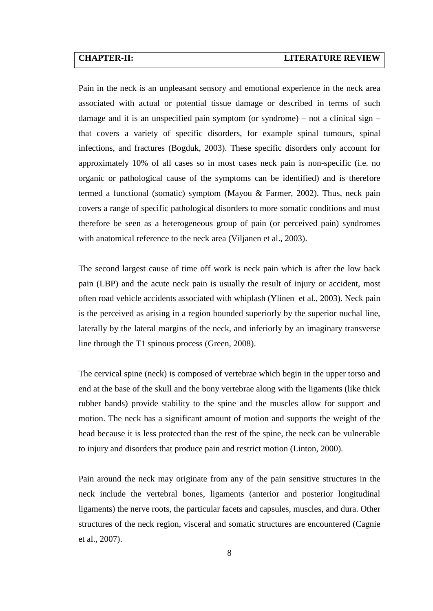Pain in the neck is an unpleasant sensory and emotional experience in the neck area associated with actual or potential tissue damage or described in terms of such damage and it is an unspecified pain symptom (or syndrome) – not a clinical sign – that covers a variety of specific disorders, for example spinal tumours, spinal infections, and fractures (Bogduk, 2003). These specific disorders only account for approximately 10% of all cases so in most cases neck pain is non-specific (i.e. no organic or pathological cause of the symptoms can be identified) and is therefore termed a functional (somatic) symptom (Mayou & Farmer, 2002). Thus, neck pain covers a range of specific pathological disorders to more somatic conditions and must therefore be seen as a heterogeneous group of pain (or perceived pain) syndromes with anatomical reference to the neck area (Viljanen et al., 2003).

The second largest cause of time off work is neck pain which is after the low back pain (LBP) and the acute neck pain is usually the result of injury or accident, most often road vehicle accidents associated with whiplash (Ylinen et al., 2003). Neck pain is the perceived as arising in a region bounded superiorly by the superior nuchal line, laterally by the lateral margins of the neck, and inferiorly by an imaginary transverse line through the T1 spinous process (Green, 2008).

The cervical spine (neck) is composed of vertebrae which begin in the upper torso and end at the base of the skull and the bony vertebrae along with the ligaments (like thick rubber bands) provide stability to the spine and the muscles allow for support and motion. The neck has a significant amount of motion and supports the weight of the head because it is less protected than the rest of the spine, the neck can be vulnerable to injury and disorders that produce pain and restrict motion (Linton, 2000).

Pain around the neck may originate from any of the pain sensitive structures in the neck include the vertebral bones, ligaments (anterior and posterior longitudinal ligaments) the nerve roots, the particular facets and capsules, muscles, and dura. Other structures of the neck region, visceral and somatic structures are encountered (Cagnie et al., 2007).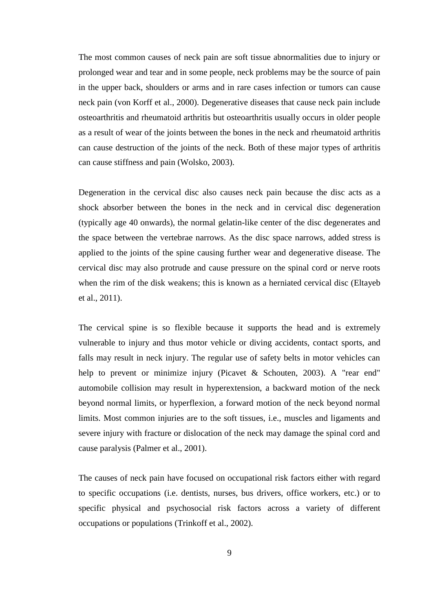The most common causes of neck pain are soft tissue abnormalities due to injury or prolonged wear and tear and in some people, neck problems may be the source of pain in the upper back, shoulders or arms and in rare cases infection or tumors can cause neck pain (von Korff et al., 2000). Degenerative diseases that cause neck pain include osteoarthritis and rheumatoid arthritis but osteoarthritis usually occurs in older people as a result of wear of the joints between the bones in the neck and rheumatoid arthritis can cause destruction of the joints of the neck. Both of these major types of arthritis can cause stiffness and pain (Wolsko, 2003).

Degeneration in the cervical disc also causes neck pain because the disc acts as a shock absorber between the bones in the neck and in cervical disc degeneration (typically age 40 onwards), the normal gelatin-like center of the disc degenerates and the space between the vertebrae narrows. As the disc space narrows, added stress is applied to the joints of the spine causing further wear and degenerative disease. The cervical disc may also protrude and cause pressure on the spinal cord or nerve roots when the rim of the disk weakens; this is known as a herniated cervical disc (Eltayeb et al., 2011).

The cervical spine is so flexible because it supports the head and is extremely vulnerable to injury and thus motor vehicle or diving accidents, contact sports, and falls may result in neck injury. The regular use of safety belts in motor vehicles can help to prevent or minimize injury (Picavet & Schouten, 2003). A "rear end" automobile collision may result in hyperextension, a backward motion of the neck beyond normal limits, or hyperflexion, a forward motion of the neck beyond normal limits. Most common injuries are to the soft tissues, i.e., muscles and ligaments and severe injury with fracture or dislocation of the neck may damage the spinal cord and cause paralysis (Palmer et al., 2001).

The causes of neck pain have focused on occupational risk factors either with regard to specific occupations (i.e. dentists, nurses, bus drivers, office workers, etc.) or to specific physical and psychosocial risk factors across a variety of different occupations or populations (Trinkoff et al., 2002).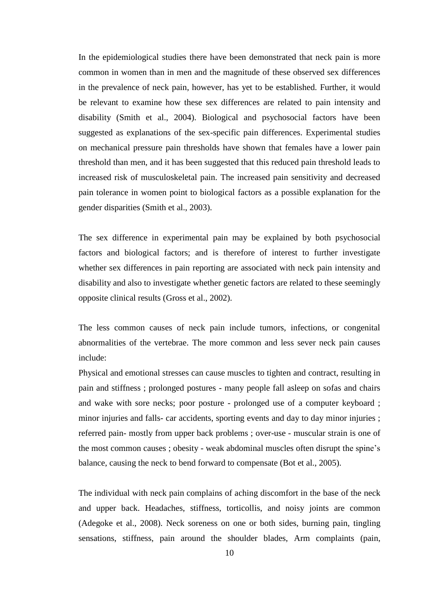In the epidemiological studies there have been demonstrated that neck pain is more common in women than in men and the magnitude of these observed sex differences in the prevalence of neck pain, however, has yet to be established. Further, it would be relevant to examine how these sex differences are related to pain intensity and disability (Smith et al., 2004). Biological and psychosocial factors have been suggested as explanations of the sex-specific pain differences. Experimental studies on mechanical pressure pain thresholds have shown that females have a lower pain threshold than men, and it has been suggested that this reduced pain threshold leads to increased risk of musculoskeletal pain. The increased pain sensitivity and decreased pain tolerance in women point to biological factors as a possible explanation for the gender disparities (Smith et al., 2003).

The sex difference in experimental pain may be explained by both psychosocial factors and biological factors; and is therefore of interest to further investigate whether sex differences in pain reporting are associated with neck pain intensity and disability and also to investigate whether genetic factors are related to these seemingly opposite clinical results (Gross et al., 2002).

The less common causes of neck pain include tumors, infections, or congenital abnormalities of the vertebrae. The more common and less sever neck pain causes include:

Physical and emotional stresses can cause muscles to tighten and contract, resulting in pain and stiffness ; prolonged postures - many people fall asleep on sofas and chairs and wake with sore necks; poor posture - prolonged use of a computer keyboard ; minor injuries and falls- car accidents, sporting events and day to day minor injuries ; referred pain- mostly from upper back problems ; over-use - muscular strain is one of the most common causes ; obesity - weak abdominal muscles often disrupt the spine's balance, causing the neck to bend forward to compensate (Bot et al., 2005).

The individual with neck pain complains of aching discomfort in the base of the neck and upper back. Headaches, stiffness, torticollis, and noisy joints are common (Adegoke et al., 2008). Neck soreness on one or both sides, burning pain, tingling sensations, stiffness, pain around the shoulder blades, Arm complaints (pain,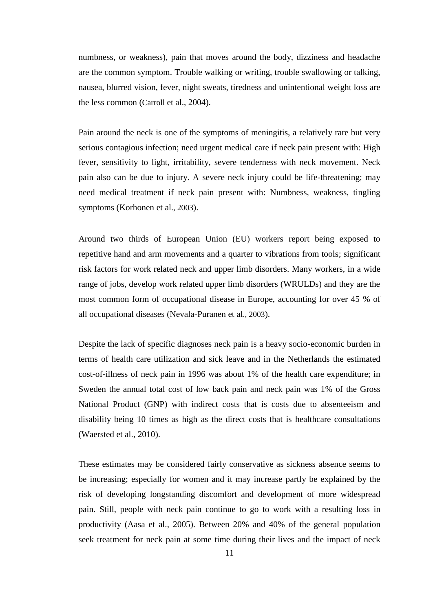numbness, or weakness), pain that moves around the body, dizziness and headache are the common symptom. Trouble walking or writing, trouble swallowing or talking, nausea, blurred vision, fever, night sweats, tiredness and unintentional weight loss are the less common (Carroll et al., 2004).

Pain around the neck is one of the symptoms of meningitis, a relatively rare but very serious contagious infection; need urgent medical care if neck pain present with: High fever, sensitivity to light, irritability, severe tenderness with neck movement. Neck pain also can be due to injury. A severe neck injury could be life-threatening; may need medical treatment if neck pain present with: Numbness, weakness, tingling symptoms (Korhonen et al., 2003).

Around two thirds of European Union (EU) workers report being exposed to repetitive hand and arm movements and a quarter to vibrations from tools; significant risk factors for work related neck and upper limb disorders. Many workers, in a wide range of jobs, develop work related upper limb disorders (WRULDs) and they are the most common form of occupational disease in Europe, accounting for over 45 % of all occupational diseases (Nevala-Puranen et al., 2003).

Despite the lack of specific diagnoses neck pain is a heavy socio-economic burden in terms of health care utilization and sick leave and in the Netherlands the estimated cost-of-illness of neck pain in 1996 was about 1% of the health care expenditure; in Sweden the annual total cost of low back pain and neck pain was 1% of the Gross National Product (GNP) with indirect costs that is costs due to absenteeism and disability being 10 times as high as the direct costs that is healthcare consultations (Waersted et al., 2010).

These estimates may be considered fairly conservative as sickness absence seems to be increasing; especially for women and it may increase partly be explained by the risk of developing longstanding discomfort and development of more widespread pain. Still, people with neck pain continue to go to work with a resulting loss in productivity (Aasa et al., 2005). Between 20% and 40% of the general population seek treatment for neck pain at some time during their lives and the impact of neck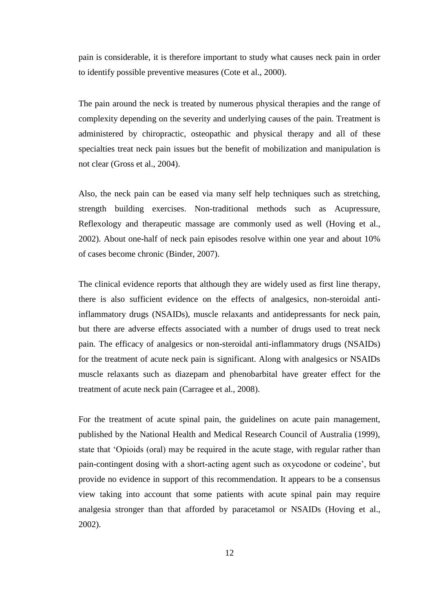pain is considerable, it is therefore important to study what causes neck pain in order to identify possible preventive measures (Cote et al., 2000).

The pain around the neck is treated by numerous physical therapies and the range of complexity depending on the severity and underlying causes of the pain. Treatment is administered by chiropractic, osteopathic and physical therapy and all of these specialties treat neck pain issues but the benefit of mobilization and manipulation is not clear (Gross et al., 2004).

Also, the neck pain can be eased via many self help techniques such as stretching, strength building exercises. Non-traditional methods such as Acupressure, Reflexology and therapeutic massage are commonly used as well (Hoving et al., 2002). About one-half of neck pain episodes resolve within one year and about 10% of cases become chronic (Binder, 2007).

The clinical evidence reports that although they are widely used as first line therapy, there is also sufficient evidence on the effects of analgesics, non-steroidal antiinflammatory drugs (NSAIDs), muscle relaxants and antidepressants for neck pain, but there are adverse effects associated with a number of drugs used to treat neck pain. The efficacy of analgesics or non-steroidal anti-inflammatory drugs (NSAIDs) for the treatment of acute neck pain is significant. Along with analgesics or NSAIDs muscle relaxants such as diazepam and phenobarbital have greater effect for the treatment of acute neck pain (Carragee et al., 2008).

For the treatment of acute spinal pain, the guidelines on acute pain management, published by the National Health and Medical Research Council of Australia (1999), state that 'Opioids (oral) may be required in the acute stage, with regular rather than pain-contingent dosing with a short-acting agent such as oxycodone or codeine', but provide no evidence in support of this recommendation. It appears to be a consensus view taking into account that some patients with acute spinal pain may require analgesia stronger than that afforded by paracetamol or NSAIDs (Hoving et al., 2002).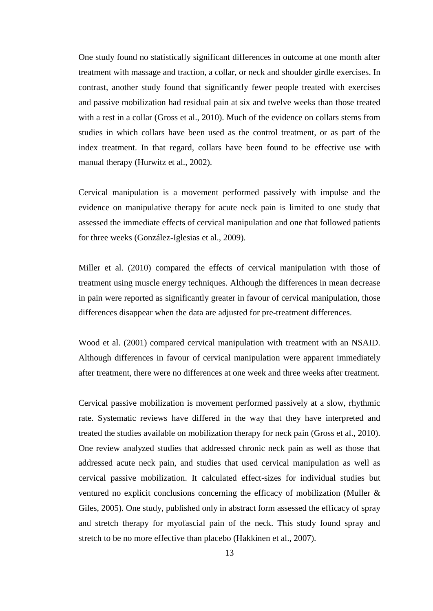One study found no statistically significant differences in outcome at one month after treatment with massage and traction, a collar, or neck and shoulder girdle exercises. In contrast, another study found that significantly fewer people treated with exercises and passive mobilization had residual pain at six and twelve weeks than those treated with a rest in a collar (Gross et al., 2010). Much of the evidence on collars stems from studies in which collars have been used as the control treatment, or as part of the index treatment. In that regard, collars have been found to be effective use with manual therapy (Hurwitz et al., 2002).

Cervical manipulation is a movement performed passively with impulse and the evidence on manipulative therapy for acute neck pain is limited to one study that assessed the immediate effects of cervical manipulation and one that followed patients for three weeks (González-Iglesias et al., 2009).

Miller et al. (2010) compared the effects of cervical manipulation with those of treatment using muscle energy techniques. Although the differences in mean decrease in pain were reported as significantly greater in favour of cervical manipulation, those differences disappear when the data are adjusted for pre-treatment differences.

Wood et al. (2001) compared cervical manipulation with treatment with an NSAID. Although differences in favour of cervical manipulation were apparent immediately after treatment, there were no differences at one week and three weeks after treatment.

Cervical passive mobilization is movement performed passively at a slow, rhythmic rate. Systematic reviews have differed in the way that they have interpreted and treated the studies available on mobilization therapy for neck pain (Gross et al., 2010). One review analyzed studies that addressed chronic neck pain as well as those that addressed acute neck pain, and studies that used cervical manipulation as well as cervical passive mobilization. It calculated effect-sizes for individual studies but ventured no explicit conclusions concerning the efficacy of mobilization (Muller & Giles, 2005). One study, published only in abstract form assessed the efficacy of spray and stretch therapy for myofascial pain of the neck. This study found spray and stretch to be no more effective than placebo (Hakkinen et al., 2007).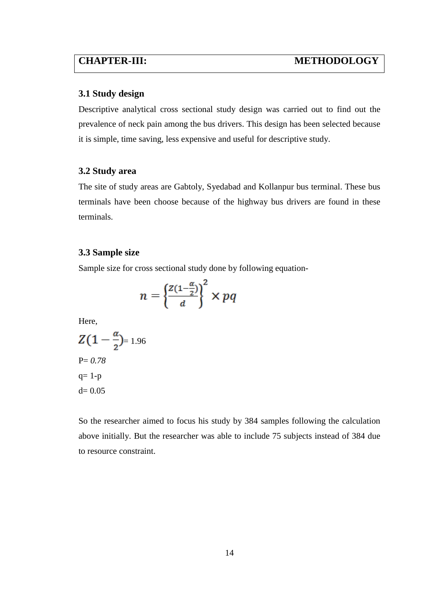#### **3.1 Study design**

Descriptive analytical cross sectional study design was carried out to find out the prevalence of neck pain among the bus drivers. This design has been selected because it is simple, time saving, less expensive and useful for descriptive study.

#### **3.2 Study area**

The site of study areas are Gabtoly, Syedabad and Kollanpur bus terminal. These bus terminals have been choose because of the highway bus drivers are found in these terminals.

#### **3.3 Sample size**

Sample size for cross sectional study done by following equation-

$$
n = \left\{ \frac{z(1-\frac{\alpha}{2})}{d} \right\}^2 \times pq
$$

Here,

$$
Z(1 - \frac{\alpha}{2}) = 1.96
$$
  
P= 0.78  
q= 1-p  
d= 0.05

So the researcher aimed to focus his study by 384 samples following the calculation above initially. But the researcher was able to include 75 subjects instead of 384 due to resource constraint.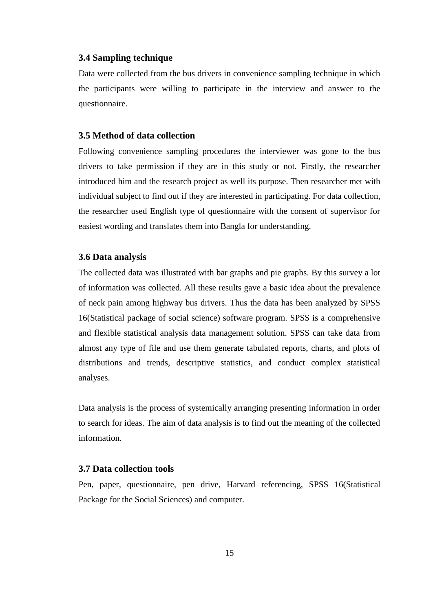#### **3.4 Sampling technique**

Data were collected from the bus drivers in convenience sampling technique in which the participants were willing to participate in the interview and answer to the questionnaire.

#### **3.5 Method of data collection**

Following convenience sampling procedures the interviewer was gone to the bus drivers to take permission if they are in this study or not. Firstly, the researcher introduced him and the research project as well its purpose. Then researcher met with individual subject to find out if they are interested in participating. For data collection, the researcher used English type of questionnaire with the consent of supervisor for easiest wording and translates them into Bangla for understanding.

#### **3.6 Data analysis**

The collected data was illustrated with bar graphs and pie graphs. By this survey a lot of information was collected. All these results gave a basic idea about the prevalence of neck pain among highway bus drivers. Thus the data has been analyzed by SPSS 16(Statistical package of social science) software program. SPSS is a comprehensive and flexible statistical analysis data management solution. SPSS can take data from almost any type of file and use them generate tabulated reports, charts, and plots of distributions and trends, descriptive statistics, and conduct complex statistical analyses.

Data analysis is the process of systemically arranging presenting information in order to search for ideas. The aim of data analysis is to find out the meaning of the collected information.

#### **3.7 Data collection tools**

Pen, paper, questionnaire, pen drive, Harvard referencing, SPSS 16(Statistical Package for the Social Sciences) and computer.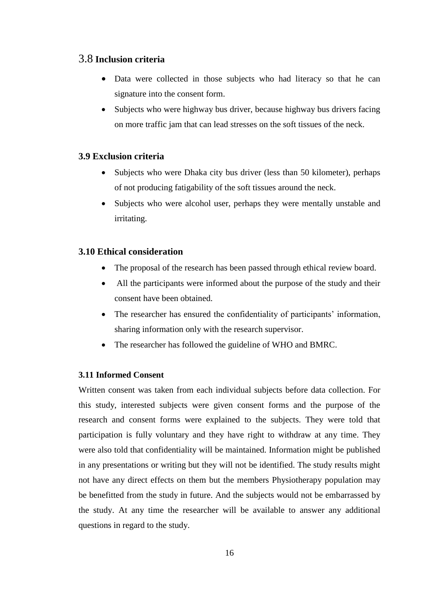### 3.8 **Inclusion criteria**

- Data were collected in those subjects who had literacy so that he can signature into the consent form.
- Subjects who were highway bus driver, because highway bus drivers facing on more traffic jam that can lead stresses on the soft tissues of the neck.

## **3.9 Exclusion criteria**

- Subjects who were Dhaka city bus driver (less than 50 kilometer), perhaps of not producing fatigability of the soft tissues around the neck.
- Subjects who were alcohol user, perhaps they were mentally unstable and irritating.

### **3.10 Ethical consideration**

- The proposal of the research has been passed through ethical review board.
- All the participants were informed about the purpose of the study and their consent have been obtained.
- The researcher has ensured the confidentiality of participants' information, sharing information only with the research supervisor.
- The researcher has followed the guideline of WHO and BMRC.

#### **3.11 Informed Consent**

Written consent was taken from each individual subjects before data collection. For this study, interested subjects were given consent forms and the purpose of the research and consent forms were explained to the subjects. They were told that participation is fully voluntary and they have right to withdraw at any time. They were also told that confidentiality will be maintained. Information might be published in any presentations or writing but they will not be identified. The study results might not have any direct effects on them but the members Physiotherapy population may be benefitted from the study in future. And the subjects would not be embarrassed by the study. At any time the researcher will be available to answer any additional questions in regard to the study.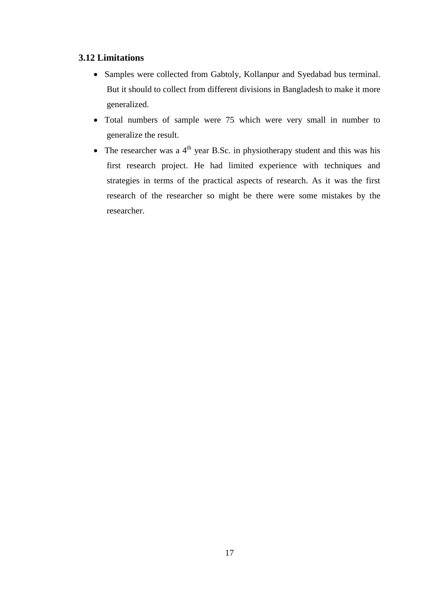## **3.12 Limitations**

- Samples were collected from Gabtoly, Kollanpur and Syedabad bus terminal. But it should to collect from different divisions in Bangladesh to make it more generalized.
- Total numbers of sample were 75 which were very small in number to generalize the result.
- The researcher was a  $4<sup>th</sup>$  year B.Sc. in physiotherapy student and this was his first research project. He had limited experience with techniques and strategies in terms of the practical aspects of research. As it was the first research of the researcher so might be there were some mistakes by the researcher.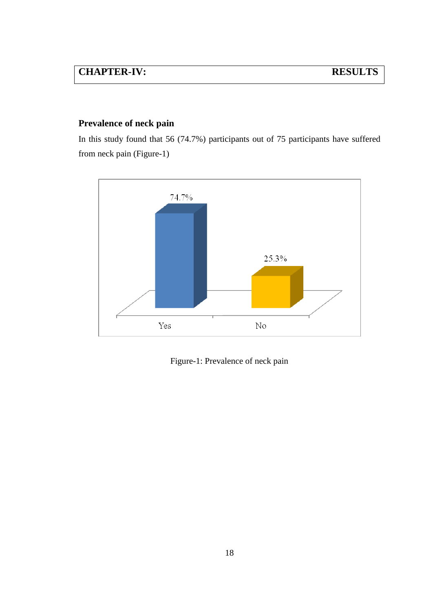# **CHAPTER-IV: RESULTS**

# **Prevalence of neck pain**

In this study found that 56 (74.7%) participants out of 75 participants have suffered from neck pain (Figure-1)



Figure-1: Prevalence of neck pain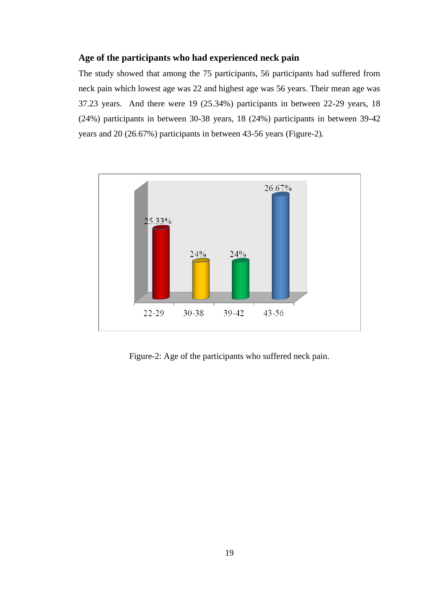## **Age of the participants who had experienced neck pain**

The study showed that among the 75 participants, 56 participants had suffered from neck pain which lowest age was 22 and highest age was 56 years. Their mean age was 37.23 years. And there were 19 (25.34%) participants in between 22-29 years, 18 (24%) participants in between 30-38 years, 18 (24%) participants in between 39-42 years and 20 (26.67%) participants in between 43-56 years (Figure-2).



Figure-2: Age of the participants who suffered neck pain.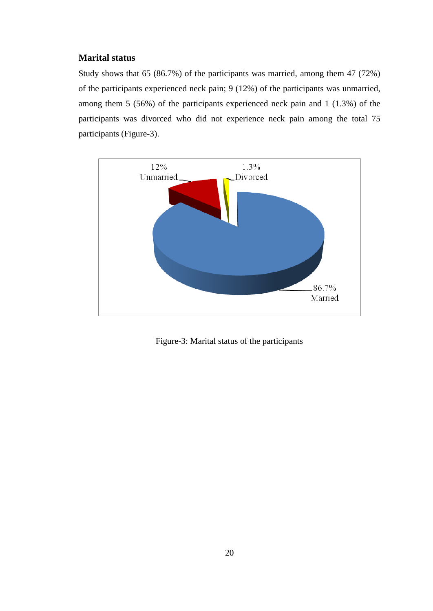## **Marital status**

Study shows that 65 (86.7%) of the participants was married, among them 47 (72%) of the participants experienced neck pain; 9 (12%) of the participants was unmarried, among them 5 (56%) of the participants experienced neck pain and 1 (1.3%) of the participants was divorced who did not experience neck pain among the total 75 participants (Figure-3).



Figure-3: Marital status of the participants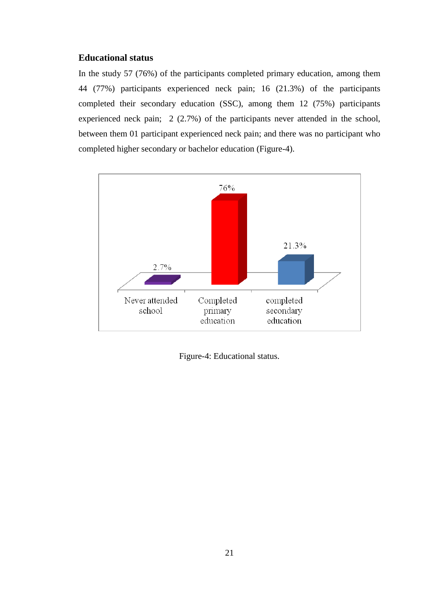### **Educational status**

In the study 57 (76%) of the participants completed primary education, among them 44 (77%) participants experienced neck pain; 16 (21.3%) of the participants completed their secondary education (SSC), among them 12 (75%) participants experienced neck pain; 2 (2.7%) of the participants never attended in the school, between them 01 participant experienced neck pain; and there was no participant who completed higher secondary or bachelor education (Figure-4).



Figure-4: Educational status.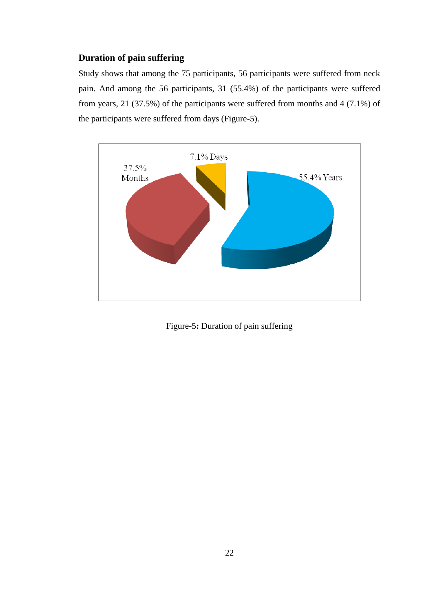# **Duration of pain suffering**

Study shows that among the 75 participants, 56 participants were suffered from neck pain. And among the 56 participants, 31 (55.4%) of the participants were suffered from years, 21 (37.5%) of the participants were suffered from months and 4 (7.1%) of the participants were suffered from days (Figure-5).



Figure-5**:** Duration of pain suffering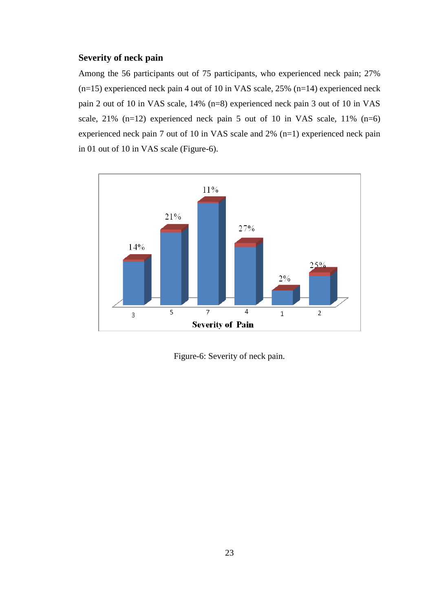#### **Severity of neck pain**

Among the 56 participants out of 75 participants, who experienced neck pain; 27% (n=15) experienced neck pain 4 out of 10 in VAS scale, 25% (n=14) experienced neck pain 2 out of 10 in VAS scale, 14% (n=8) experienced neck pain 3 out of 10 in VAS scale,  $21\%$  (n=12) experienced neck pain 5 out of 10 in VAS scale,  $11\%$  (n=6) experienced neck pain 7 out of 10 in VAS scale and 2% (n=1) experienced neck pain in 01 out of 10 in VAS scale (Figure-6).



Figure-6: Severity of neck pain.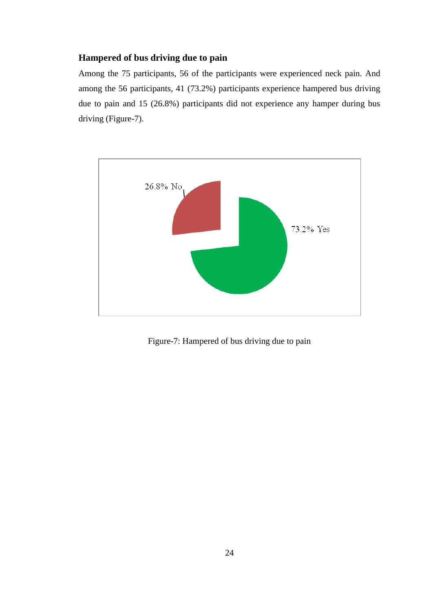## **Hampered of bus driving due to pain**

Among the 75 participants, 56 of the participants were experienced neck pain. And among the 56 participants, 41 (73.2%) participants experience hampered bus driving due to pain and 15 (26.8%) participants did not experience any hamper during bus driving (Figure-7).



Figure-7: Hampered of bus driving due to pain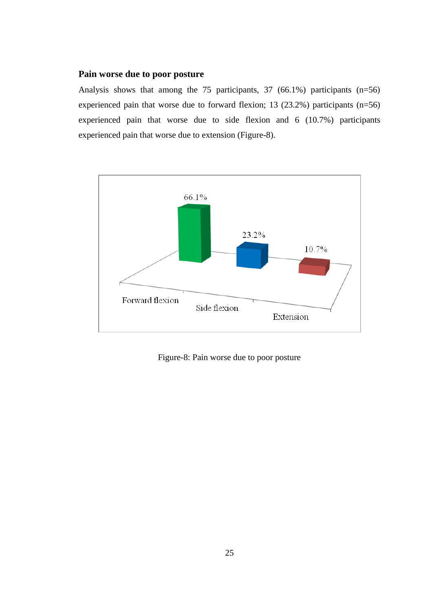#### **Pain worse due to poor posture**

Analysis shows that among the 75 participants, 37 (66.1%) participants (n=56) experienced pain that worse due to forward flexion; 13 (23.2%) participants (n=56) experienced pain that worse due to side flexion and 6 (10.7%) participants experienced pain that worse due to extension (Figure-8).



Figure-8: Pain worse due to poor posture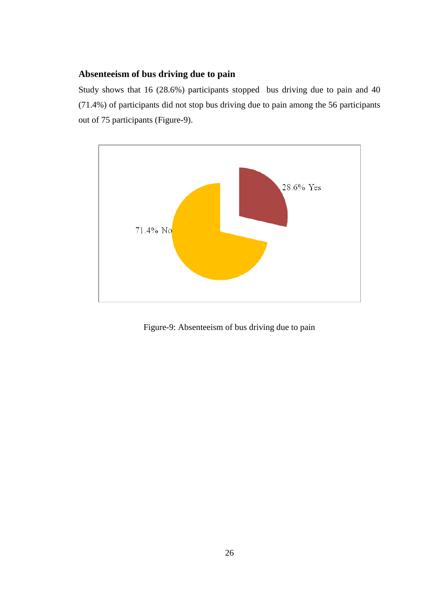# **Absenteeism of bus driving due to pain**

Study shows that 16 (28.6%) participants stopped bus driving due to pain and 40 (71.4%) of participants did not stop bus driving due to pain among the 56 participants out of 75 participants (Figure-9).



Figure-9: Absenteeism of bus driving due to pain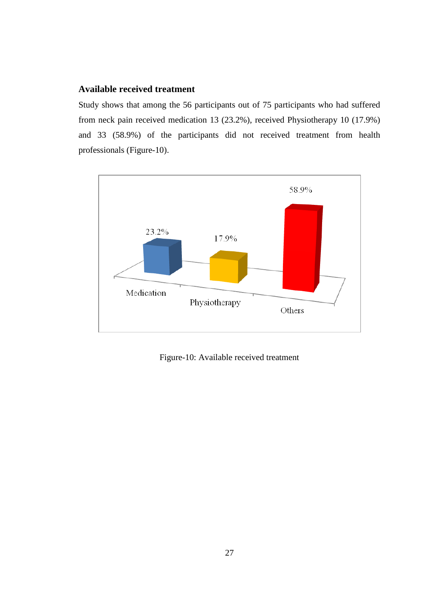#### **Available received treatment**

Study shows that among the 56 participants out of 75 participants who had suffered from neck pain received medication 13 (23.2%), received Physiotherapy 10 (17.9%) and 33 (58.9%) of the participants did not received treatment from health professionals (Figure-10).



Figure-10: Available received treatment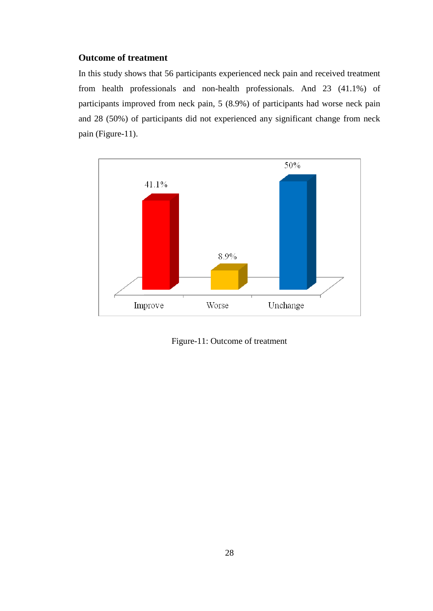## **Outcome of treatment**

In this study shows that 56 participants experienced neck pain and received treatment from health professionals and non-health professionals. And 23 (41.1%) of participants improved from neck pain, 5 (8.9%) of participants had worse neck pain and 28 (50%) of participants did not experienced any significant change from neck pain (Figure-11).



Figure-11: Outcome of treatment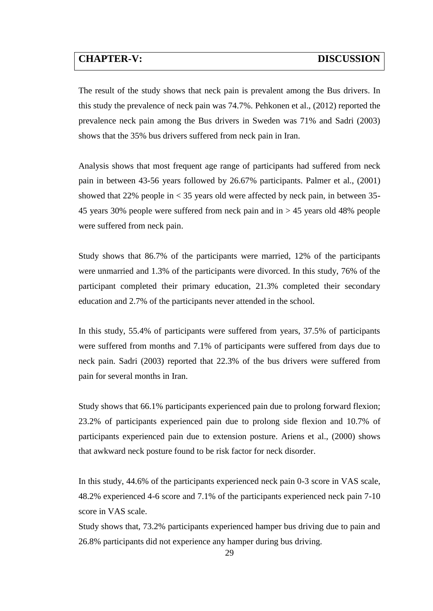# **CHAPTER-V: DISCUSSION**

The result of the study shows that neck pain is prevalent among the Bus drivers. In this study the prevalence of neck pain was 74.7%. Pehkonen et al., (2012) reported the prevalence neck pain among the Bus drivers in Sweden was 71% and Sadri (2003) shows that the 35% bus drivers suffered from neck pain in Iran.

Analysis shows that most frequent age range of participants had suffered from neck pain in between 43-56 years followed by 26.67% participants. Palmer et al., (2001) showed that 22% people in  $\lt 35$  years old were affected by neck pain, in between 35-45 years 30% people were suffered from neck pain and in > 45 years old 48% people were suffered from neck pain.

Study shows that 86.7% of the participants were married, 12% of the participants were unmarried and 1.3% of the participants were divorced. In this study, 76% of the participant completed their primary education, 21.3% completed their secondary education and 2.7% of the participants never attended in the school.

In this study, 55.4% of participants were suffered from years, 37.5% of participants were suffered from months and 7.1% of participants were suffered from days due to neck pain. Sadri (2003) reported that 22.3% of the bus drivers were suffered from pain for several months in Iran.

Study shows that 66.1% participants experienced pain due to prolong forward flexion; 23.2% of participants experienced pain due to prolong side flexion and 10.7% of participants experienced pain due to extension posture. Ariens et al., (2000) shows that awkward neck posture found to be risk factor for neck disorder.

In this study, 44.6% of the participants experienced neck pain 0-3 score in VAS scale, 48.2% experienced 4-6 score and 7.1% of the participants experienced neck pain 7-10 score in VAS scale.

Study shows that, 73.2% participants experienced hamper bus driving due to pain and 26.8% participants did not experience any hamper during bus driving.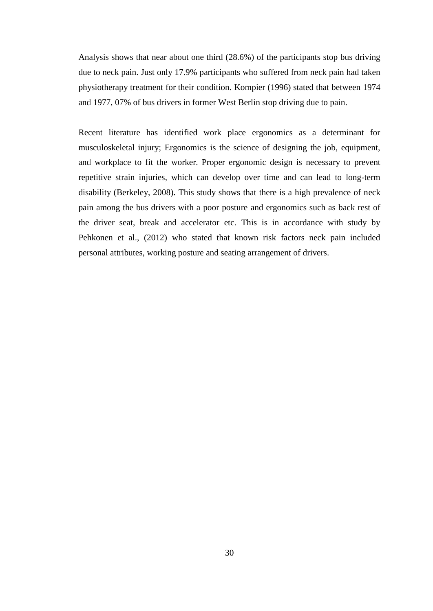Analysis shows that near about one third (28.6%) of the participants stop bus driving due to neck pain. Just only 17.9% participants who suffered from neck pain had taken physiotherapy treatment for their condition. Kompier (1996) stated that between 1974 and 1977, 07% of bus drivers in former West Berlin stop driving due to pain.

Recent literature has identified work place ergonomics as a determinant for musculoskeletal injury; Ergonomics is the science of designing the job, equipment, and workplace to fit the worker. Proper ergonomic design is necessary to prevent repetitive strain injuries, which can develop over time and can lead to long-term disability (Berkeley, 2008). This study shows that there is a high prevalence of neck pain among the bus drivers with a poor posture and ergonomics such as back rest of the driver seat, break and accelerator etc. This is in accordance with study by Pehkonen et al., (2012) who stated that known risk factors neck pain included personal attributes, working posture and seating arrangement of drivers.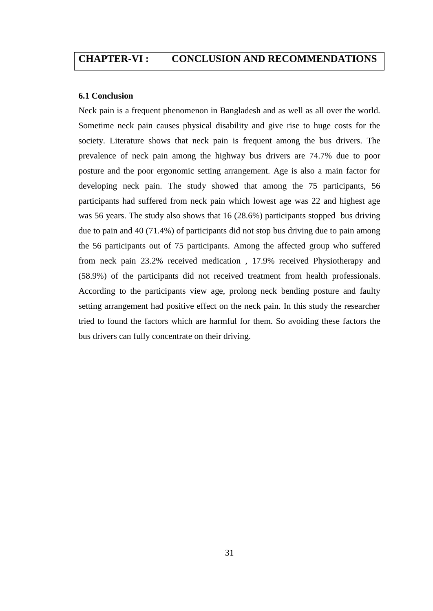# **CHAPTER-VI : CONCLUSION AND RECOMMENDATIONS**

#### **6.1 Conclusion**

Neck pain is a frequent phenomenon in Bangladesh and as well as all over the world. Sometime neck pain causes physical disability and give rise to huge costs for the society. Literature shows that neck pain is frequent among the bus drivers. The prevalence of neck pain among the highway bus drivers are 74.7% due to poor posture and the poor ergonomic setting arrangement. Age is also a main factor for developing neck pain. The study showed that among the 75 participants, 56 participants had suffered from neck pain which lowest age was 22 and highest age was 56 years. The study also shows that 16 (28.6%) participants stopped bus driving due to pain and 40 (71.4%) of participants did not stop bus driving due to pain among the 56 participants out of 75 participants. Among the affected group who suffered from neck pain 23.2% received medication , 17.9% received Physiotherapy and (58.9%) of the participants did not received treatment from health professionals. According to the participants view age, prolong neck bending posture and faulty setting arrangement had positive effect on the neck pain. In this study the researcher tried to found the factors which are harmful for them. So avoiding these factors the bus drivers can fully concentrate on their driving.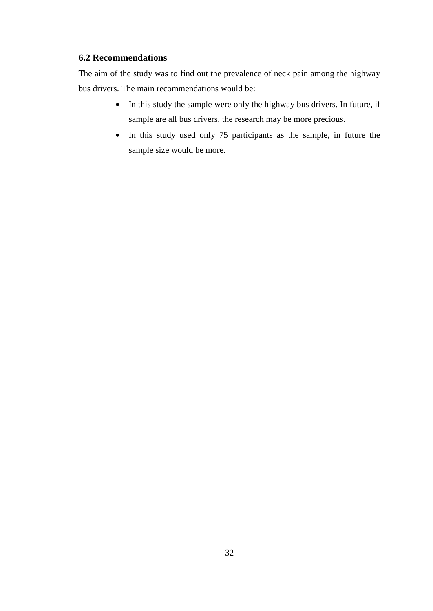### **6.2 Recommendations**

The aim of the study was to find out the prevalence of neck pain among the highway bus drivers. The main recommendations would be:

- In this study the sample were only the highway bus drivers. In future, if sample are all bus drivers, the research may be more precious.
- In this study used only 75 participants as the sample, in future the sample size would be more.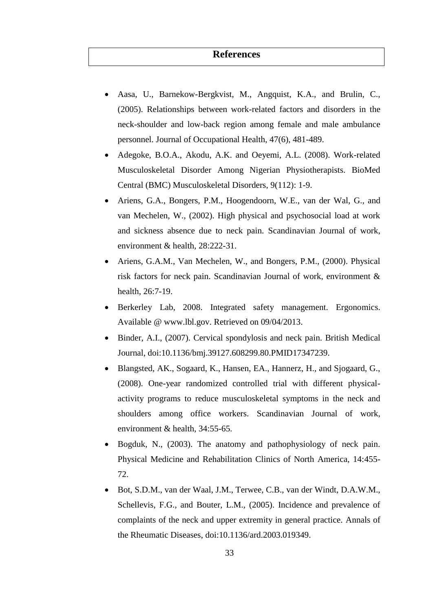## **References**

- Aasa, U., Barnekow-Bergkvist, M., Angquist, K.A., and Brulin, C., (2005). Relationships between work-related factors and disorders in the neck-shoulder and low-back region among female and male ambulance personnel. Journal of Occupational Health, 47(6), 481-489.
- Adegoke, B.O.A., Akodu, A.K. and Oeyemi, A.L. (2008). Work-related Musculoskeletal Disorder Among Nigerian Physiotherapists. BioMed Central (BMC) Musculoskeletal Disorders, 9(112): 1-9.
- Ariens, G.A., Bongers, P.M., Hoogendoorn, W.E., van der Wal, G., and van Mechelen, W., (2002). High physical and psychosocial load at work and sickness absence due to neck pain. Scandinavian Journal of work, environment & health, 28:222-31.
- Ariens, G.A.M., Van Mechelen, W., and Bongers, P.M., (2000). Physical risk factors for neck pain. Scandinavian Journal of work, environment & health, 26:7-19.
- Berkerley Lab, 2008. Integrated safety management. Ergonomics. Available @ www.lbl.gov. Retrieved on 09/04/2013.
- Binder, A.I., (2007). Cervical spondylosis and neck pain. British Medical Journal, doi:10.1136/bmj.39127.608299.80.PMID17347239.
- Blangsted, AK., Sogaard, K., Hansen, EA., Hannerz, H., and Sjogaard, G., (2008). One-year randomized controlled trial with different physicalactivity programs to reduce musculoskeletal symptoms in the neck and shoulders among office workers. Scandinavian Journal of work, environment & health, 34:55-65.
- Bogduk, N., (2003). The anatomy and pathophysiology of neck pain. Physical Medicine and Rehabilitation Clinics of North America, 14:455- 72.
- Bot, S.D.M., van der Waal, J.M., Terwee, C.B., van der Windt, D.A.W.M., Schellevis, F.G., and Bouter, L.M., (2005). Incidence and prevalence of complaints of the neck and upper extremity in general practice. Annals of the Rheumatic Diseases, doi:10.1136/ard.2003.019349.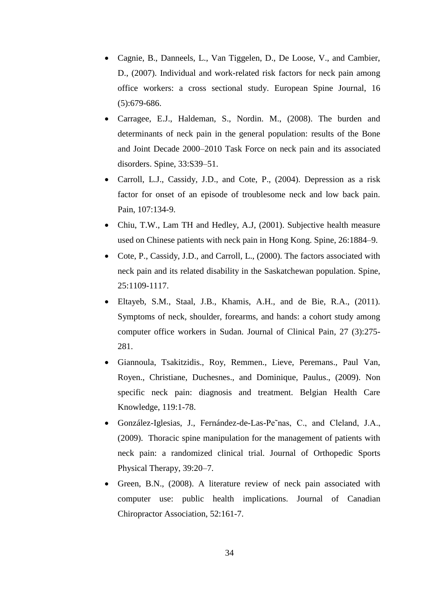- Cagnie, B., Danneels, L., Van Tiggelen, D., De Loose, V., and Cambier, D., (2007). Individual and work-related risk factors for neck pain among office workers: a cross sectional study. European Spine Journal, 16 (5):679-686.
- Carragee, E.J., Haldeman, S., Nordin. M., (2008). The burden and determinants of neck pain in the general population: results of the Bone and Joint Decade 2000–2010 Task Force on neck pain and its associated disorders. Spine, 33:S39–51.
- Carroll, L.J., Cassidy, J.D., and Cote, P., (2004). Depression as a risk factor for onset of an episode of troublesome neck and low back pain. Pain, 107:134-9.
- Chiu, T.W., Lam TH and Hedley, A.J, (2001). Subjective health measure used on Chinese patients with neck pain in Hong Kong. Spine, 26:1884–9.
- Cote, P., Cassidy, J.D., and Carroll, L., (2000). The factors associated with neck pain and its related disability in the Saskatchewan population. Spine, 25:1109-1117.
- Eltayeb, S.M., Staal, J.B., Khamis, A.H., and de Bie, R.A., (2011). Symptoms of neck, shoulder, forearms, and hands: a cohort study among computer office workers in Sudan. Journal of Clinical Pain*,* 27 (3):275- 281.
- Giannoula, Tsakitzidis., Roy, Remmen., Lieve, Peremans., Paul Van, Royen., Christiane, Duchesnes., and Dominique, Paulus., (2009). Non specific neck pain: diagnosis and treatment. Belgian Health Care Knowledge, 119:1-78.
- González-Iglesias, J., Fernández-de-Las-Pe˜nas, C., and Cleland, J.A., (2009). Thoracic spine manipulation for the management of patients with neck pain: a randomized clinical trial. Journal of Orthopedic Sports Physical Therapy, 39:20–7.
- Green, B.N., (2008). A literature review of neck pain associated with computer use: public health implications. Journal of Canadian Chiropractor Association, 52:161-7.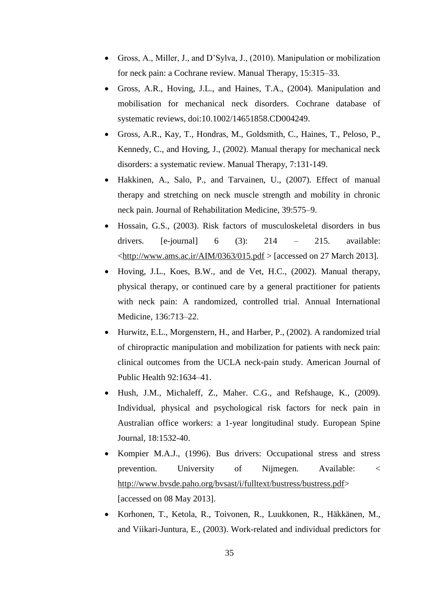- Gross, A., Miller, J., and D'Sylva, J., (2010). Manipulation or mobilization for neck pain: a Cochrane review. Manual Therapy, 15:315–33.
- Gross, A.R., Hoving, J.L., and Haines, T.A., (2004). Manipulation and mobilisation for mechanical neck disorders. Cochrane database of systematic reviews, doi:10.1002/14651858.CD004249.
- Gross, A.R., Kay, T., Hondras, M., Goldsmith, C., Haines, T., Peloso, P., Kennedy, C., and Hoving, J., (2002). Manual therapy for mechanical neck disorders: a systematic review. Manual Therapy, 7:131-149.
- Hakkinen, A., Salo, P., and Tarvainen, U., (2007). Effect of manual therapy and stretching on neck muscle strength and mobility in chronic neck pain. Journal of Rehabilitation Medicine, 39:575–9.
- Hossain, G.S., (2003). Risk factors of musculoskeletal disorders in bus drivers. [e-journal]  $6$   $(3)$ :  $214$  –  $215$ . available:  $\lt$ http://www.ams.ac.ir/AIM/0363/015.pdf > [accessed on 27 March 2013].
- Hoving, J.L., Koes, B.W., and de Vet, H.C., (2002). Manual therapy, physical therapy, or continued care by a general practitioner for patients with neck pain: A randomized, controlled trial. Annual International Medicine, 136:713–22.
- Hurwitz, E.L., Morgenstern, H., and Harber, P., (2002). A randomized trial of chiropractic manipulation and mobilization for patients with neck pain: clinical outcomes from the UCLA neck-pain study. American Journal of Public Health 92:1634–41.
- Hush, J.M., Michaleff, Z., Maher. C.G., and Refshauge, K., (2009). Individual, physical and psychological risk factors for neck pain in Australian office workers: a 1-year longitudinal study. European Spine Journal, 18:1532-40.
- Kompier M.A.J., (1996). Bus drivers: Occupational stress and stress prevention. University of Nijmegen. Available: < [http://www.bvsde.paho.org/bvsast/i/fulltext/bustress/bustress.pdf>](http://www.bvsde.paho.org/bvsast/i/fulltext/bustress/bustress.pdf) [accessed on 08 May 2013].
- Korhonen, T., Ketola, R., Toivonen, R., Luukkonen, R., Häkkänen, M., and Viikari-Juntura, E., (2003). Work-related and individual predictors for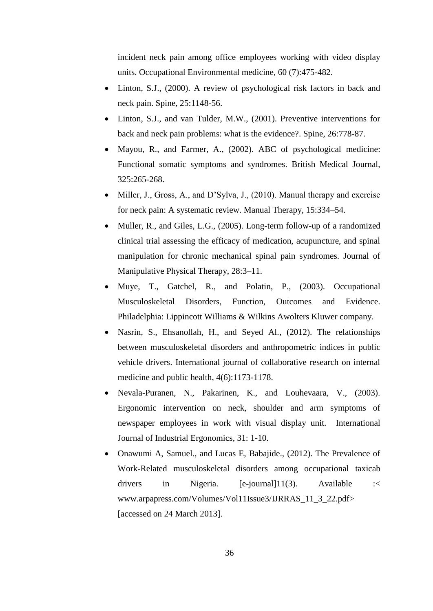incident neck pain among office employees working with video display units. Occupational Environmental medicine*,* 60 (7):475-482.

- Linton, S.J., (2000). A review of psychological risk factors in back and neck pain. Spine, 25:1148-56.
- Linton, S.J., and van Tulder, M.W., (2001). Preventive interventions for back and neck pain problems: what is the evidence?. Spine, 26:778-87.
- Mayou, R., and Farmer, A., (2002). ABC of psychological medicine: Functional somatic symptoms and syndromes. British Medical Journal, 325:265-268.
- Miller, J., Gross, A., and D'Sylva, J., (2010). Manual therapy and exercise for neck pain: A systematic review. Manual Therapy, 15:334–54.
- Muller, R., and Giles, L.G., (2005). Long-term follow-up of a randomized clinical trial assessing the efficacy of medication, acupuncture, and spinal manipulation for chronic mechanical spinal pain syndromes. Journal of Manipulative Physical Therapy, 28:3–11.
- Muye, T., Gatchel, R., and Polatin, P., (2003). Occupational Musculoskeletal Disorders, Function, Outcomes and Evidence. Philadelphia: Lippincott Williams & Wilkins Awolters Kluwer company.
- Nasrin, S., Ehsanollah, H., and Seyed Al., (2012). The relationships between musculoskeletal disorders and anthropometric indices in public vehicle drivers. International journal of collaborative research on internal medicine and public health, 4(6):1173-1178.
- Nevala-Puranen, N., Pakarinen, K., and Louhevaara, V., (2003). Ergonomic intervention on neck, shoulder and arm symptoms of newspaper employees in work with visual display unit*.* International Journal of Industrial Ergonomics, 31: 1-10.
- Onawumi A, Samuel., and Lucas E, Babajide., (2012). The Prevalence of Work-Related musculoskeletal disorders among occupational taxicab drivers in Nigeria. [e-journal]11(3). Available :< www.arpapress.com/Volumes/Vol11Issue3/IJRRAS\_11\_3\_22.pdf> [accessed on 24 March 2013].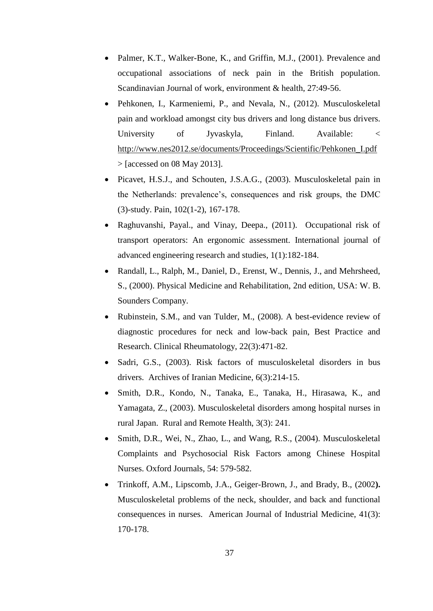- Palmer, K.T., Walker-Bone, K., and Griffin, M.J., (2001). Prevalence and occupational associations of neck pain in the British population. Scandinavian Journal of work, environment & health, 27:49-56.
- Pehkonen, I., Karmeniemi, P., and Nevala, N., (2012). Musculoskeletal pain and workload amongst city bus drivers and long distance bus drivers. University of Jyvaskyla, Finland. Available: < [http://www.nes2012.se/documents/Proceedings/Scientific/Pehkonen\\_I.pdf](http://www.nes2012.se/documents/Proceedings/Scientific/Pehkonen_I.pdf)  $>$  [accessed on 08 May 2013].
- Picavet, H.S.J., and Schouten, J.S.A.G., (2003). Musculoskeletal pain in the Netherlands: prevalence's, consequences and risk groups, the DMC (3)-study. Pain, 102(1-2), 167-178.
- Raghuvanshi, Payal., and Vinay, Deepa., (2011). Occupational risk of transport operators: An ergonomic assessment. International journal of advanced engineering research and studies, 1(1):182-184.
- Randall, L., Ralph, M., Daniel, D., Erenst, W., Dennis, J., and Mehrsheed, S., (2000). Physical Medicine and Rehabilitation, 2nd edition, USA: W. B. Sounders Company.
- Rubinstein, S.M., and van Tulder, M., (2008). A best-evidence review of diagnostic procedures for neck and low-back pain, Best Practice and Research. Clinical Rheumatology, 22(3):471-82.
- Sadri, G.S., (2003). Risk factors of musculoskeletal disorders in bus drivers.Archives of Iranian Medicine, 6(3):214-15.
- Smith, D.R., Kondo, N., Tanaka, E., Tanaka, H., Hirasawa, K., and Yamagata, Z., (2003). Musculoskeletal disorders among hospital nurses in rural Japan. Rural and Remote Health, 3(3): 241.
- Smith, D.R., Wei, N., Zhao, L., and Wang, R.S., (2004). Musculoskeletal Complaints and Psychosocial Risk Factors among Chinese Hospital Nurses. Oxford Journals*,* 54: 579-582.
- Trinkoff, A.M., Lipscomb, J.A., Geiger-Brown, J., and Brady, B., (2002**).** Musculoskeletal problems of the neck, shoulder, and back and functional consequences in nurses. American Journal of Industrial Medicine, 41(3): 170-178.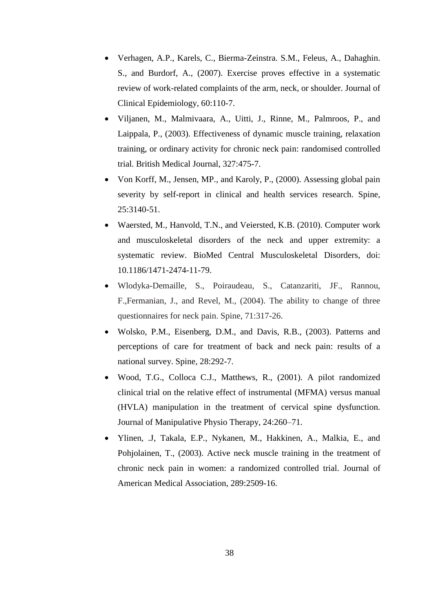- Verhagen, A.P., Karels, C., Bierma-Zeinstra. S.M., Feleus, A., Dahaghin. S., and Burdorf, A., (2007). Exercise proves effective in a systematic review of work-related complaints of the arm, neck, or shoulder. Journal of Clinical Epidemiology, 60:110-7.
- Viljanen, M., Malmivaara, A., Uitti, J., Rinne, M., Palmroos, P., and Laippala, P., (2003). Effectiveness of dynamic muscle training, relaxation training, or ordinary activity for chronic neck pain: randomised controlled trial. British Medical Journal, 327:475-7.
- Von Korff, M., Jensen, MP., and Karoly, P., (2000). Assessing global pain severity by self-report in clinical and health services research. Spine, 25:3140-51.
- Waersted, M., Hanvold, T.N., and Veiersted, K.B. (2010). Computer work and musculoskeletal disorders of the neck and upper extremity: a systematic review. BioMed Central Musculoskeletal Disorders, doi: 10.1186/1471-2474-11-79.
- Wlodyka-Demaille, S., Poiraudeau, S., Catanzariti, JF., Rannou, F.,Fermanian, J., and Revel, M., (2004). The ability to change of three questionnaires for neck pain. Spine, 71:317-26.
- Wolsko, P.M., Eisenberg, D.M., and Davis, R.B., (2003). Patterns and perceptions of care for treatment of back and neck pain: results of a national survey. Spine, 28:292-7.
- Wood, T.G., Colloca C.J., Matthews, R., (2001). A pilot randomized clinical trial on the relative effect of instrumental (MFMA) versus manual (HVLA) manipulation in the treatment of cervical spine dysfunction. Journal of Manipulative Physio Therapy, 24:260–71.
- Ylinen, .J, Takala, E.P., Nykanen, M., Hakkinen, A., Malkia, E., and Pohjolainen, T., (2003). Active neck muscle training in the treatment of chronic neck pain in women: a randomized controlled trial. Journal of American Medical Association, 289:2509-16.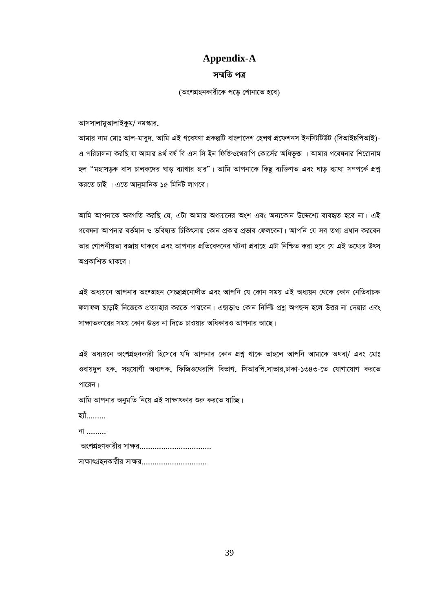### **Appendix-A**

#### *m¤§wZ cÎ*

*(*অংশগ্ৰহনকারীকে পডে শোনাতে হবে)

*আসসালামু*আলাইকুম/ নমস্কার,

*Avgvi bvg †gvt Avj-gvey`, Avwg GB M‡elYv cÖKíwU evsjv‡`k †nj\_ cÖ‡dkbm Bbw÷wUDU (weAvBPwcAvB)- G cwiPvjbv KiwQ hv Avgvi 4\_© el© we Gm wm Bb wdwRI‡\_ivwc †Kv‡m©i Awaf'³ | Avgvi M‡elbvi wk‡ivbvg*  হল "মহাসড়ক বাস চালকদের ঘাড় ব্যাথার হার"। আমি আপনাকে কিছু ব্যক্তিগত এবং ঘাড় ব্যাথা সম্পর্কে প্রশ্ন করতে চাই । এতে আনুমানিক ১৫ মিনিট লাগবে।

*আ*মি আপনাকে অবগতি করছি যে, এটা আমার অধ্যয়নের অংশ এবং অন্যকোন উদ্দেশ্যে ব্যবহৃত হবে না। এই গবেষনা আপনার বর্তমান ও ভবিষ্যত চিকিৎসায় কোন প্রকার প্রভাব ফেলবেনা। আপনি যে সব তথ্য প্রধান করবেন তার গোপনীয়তা বজায় থাকবে এবং আপনার প্রতিবেদনের ঘটনা প্রবাহে এটা নিশ্চিত করা হবে যে এই তথ্যের উৎস অপ্ৰকাশিত থাকবে।

এই অধ্যয়নে আপনার অংশগ্রহন সেচ্ছাপ্রনোদীত এবং আপনি যে কোন সময় এই অধ্যয়ন থেকে কোন নেতিবাচক *ফ*লাফল ছাডাই নিজেকে প্রত্যাহার করতে পারবেন। এছাডাও কোন নির্দিষ্ট প্রশ্ন অপছন্দ হলে উত্তর না দেয়ার এবং সাক্ষাতকারের সময় কোন উত্তর না দিতে চাওয়ার অধিকারও আপনার আছে।

এই অধ্যয়নে অংশগ্ৰহনকারী হিসেবে যদি আপনার কোন প্রশ্ন থাকে তাহলে আপনি আমাকে অথবা/ এবং মোঃ *ও*বায়দুল হক, সহযোগী অধ্যপক, ফিজিওথেরাপি বিভাগ, সিআরপি,সাভার,ঢাকা-১৩৪৩-তে যোগাযোগ করতে পারেন।

<u>আমি আপনার অনুমতি নিয়ে এই সাক্ষাৎকার শুরু করতে যাচ্ছি।</u>

হ্যাঁ………

*bv .........*

| অংশগ্রহণকারীর সাক্ষর……………………………   |
|-----------------------------------|
| সাক্ষাৎগ্রহনকারীর সাক্ষর……………………… |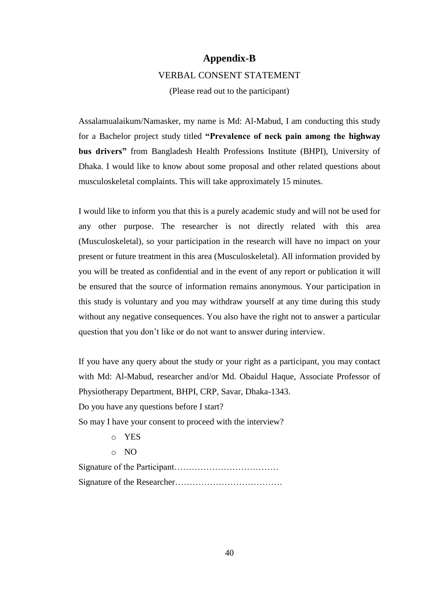#### **Appendix-B**

#### VERBAL CONSENT STATEMENT

(Please read out to the participant)

Assalamualaikum/Namasker, my name is Md: Al-Mabud, I am conducting this study for a Bachelor project study titled **"Prevalence of neck pain among the highway bus drivers"** from Bangladesh Health Professions Institute (BHPI), University of Dhaka. I would like to know about some proposal and other related questions about musculoskeletal complaints. This will take approximately 15 minutes.

I would like to inform you that this is a purely academic study and will not be used for any other purpose. The researcher is not directly related with this area (Musculoskeletal), so your participation in the research will have no impact on your present or future treatment in this area (Musculoskeletal). All information provided by you will be treated as confidential and in the event of any report or publication it will be ensured that the source of information remains anonymous. Your participation in this study is voluntary and you may withdraw yourself at any time during this study without any negative consequences. You also have the right not to answer a particular question that you don't like or do not want to answer during interview.

If you have any query about the study or your right as a participant, you may contact with Md: Al-Mabud, researcher and/or Md. Obaidul Haque, Associate Professor of Physiotherapy Department, BHPI, CRP, Savar, Dhaka-1343.

Do you have any questions before I start?

So may I have your consent to proceed with the interview?

- o YES
- o NO

Signature of the Participant……………………………… Signature of the Researcher……………………………….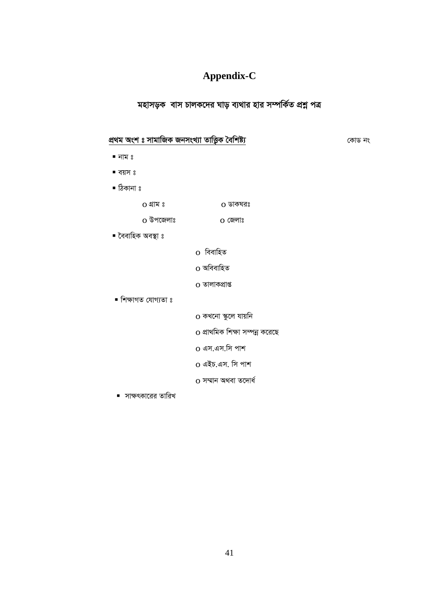# **Appendix-C**

# *মহাসড়ক* বাস চালকদের ঘাড় ব্যথার হার সম্পর্কিত প্রশ্ন পত্র

# *cÖ\_g Ask t mvgvwRK RbmsL¨v ZvwË¡K ˆewkó¨ †KvW bs*

- নাম ঃ
- বয়স ঃ
- ঠিকানা ঃ
	- o *MÖvg t* o *WvKNit*
	- o *Dc‡Rjvt* o *†Rjvt*
		- <u>০</u> বিবাহিত
			- $o$  অবিবাহিত
			- $o$  তালাকপ্ৰাপ্ত
- শিক্ষাগত যোগ্যতা ঃ

■ বৈবাহিক অবস্থা ঃ

- $\,$ ০ কখনো স্কুলে যায়নি
- o *cÖv\_wgK wkÿv m¤úbœ K‡i‡Q*
- o এস.এস.সি পাশ
- o *GBP.Gm. wm cvk*
- $\overline{\text{o}}$  সম্মান অথবা তদোৰ্ধ
- সাক্ষৎকারের তারিখ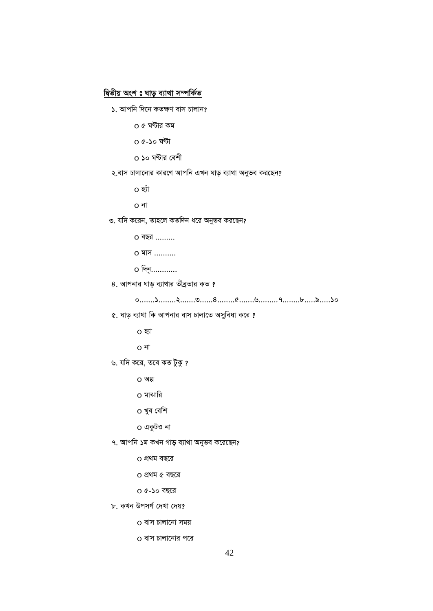#### *দ্বি*তীয় অংশ ঃ ঘাড় ব্যাথা সম্পর্কিত

<u>১. আপনি দিনে কতক্ষণ বাস চালান?</u>

```
 o 5 NÈvi Kg
```
o *5-10 NÈv* 

**০ ১**০ ঘণ্টার বেশী

#### $\lambda$  বাস চালানোর কারণে আপনি এখন ঘাড় ব্যাথা অনুভব করছেন?

42

 *0.......1........2.......3......4........5.......6.........7........8.....9.....10*

o *n¨uv* 

o *bv*

*৩.* যদি করেন, তাহলে কতদিন ধরে অনুভব করছেন?

*৫.* ঘাড় ব্যাথা কি আপনার বাস চালাতে অসুবিধা করে ?

o *eQi .........*

o *gvm ..........*

*8.* আপনার ঘাড় ব্যাথার তীব্রতার কত ?

 $o$  *पिनु*…………

o *n¨v*

o *bv*

 $O$  অল্প

*৬.* যদি করে, তবে কত টুকু ?

**o** মাঝারি

 $0$  খুব বেশি

o *GKzUI bv*

o *cÖ\_g eQ‡i*

o *cÖ\_g 5 eQ‡i*

o *5-10 eQ‡i*

o *evm Pvjv‡bv mgq* 

o বাস চালানোর পরে

*৮. ক*খন উপসৰ্গ দেখা দেয়?

*৭.* আপনি ১ম কখন গাড় ব্যাথা অনুভব করেছেন?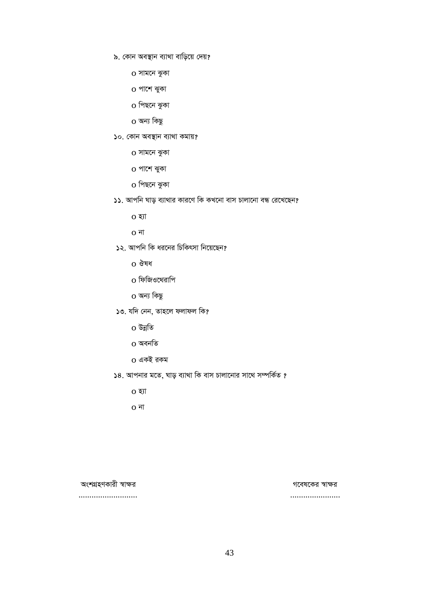- *৯. কোন অবস্থান ব্যাথা বাড়িয়ে দে*য়?
	- o সামনে ঝুকা
	- o পাশে ঝুকা
	- o পিছনে ঝুকা
	- o অন্য কিছু
- $\mathcal{L}$ o. কোন অবস্থান ব্যাথা কমায়?
	- o সামনে ঝুকা
	- o পাশে ঝুকা
	- o পিছনে ঝুকা
- *11. Avcwb Nvo e¨v\_vi Kvi‡Y wK KL‡bv evm Pvjv‡bv eÜ †i‡L‡Qb?*
	- o *n¨v*
	- o *bv*
- *12. Avcwb wK ai‡bi wPwKrmv wb‡q‡Qb?* 
	- **o** ঔষধ
	- o ফিজিওথেরাপি
	- o অন্য কিছু
- $\delta$ ৩. যদি নেন, তাহলে ফলাফল কি?
	- $0$  উন্নতি
	- $0$  অবনতি
	- o *GKB iKg*
- $\overline{\phantom{a}}$ ১৪. আপনার মতে, ঘাড় ব্যাথা কি বাস চালানোর সাথে সম্পর্কিত ?
	- o *n¨v*
	- o *bv*

#### *AskMÖnYKvix ¯^vÿi M‡el‡Ki ¯^vÿi*

*........................... .......................*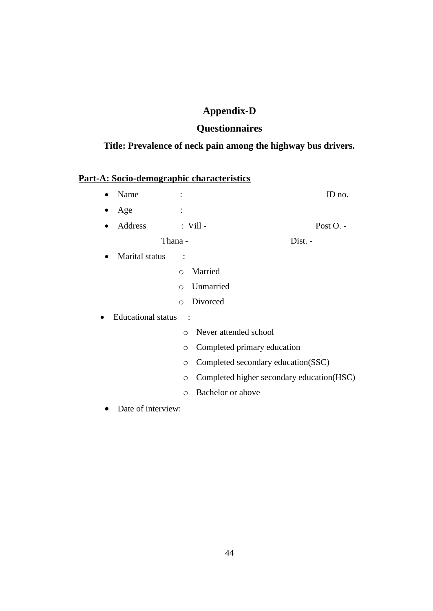# **Appendix-D**

# **Questionnaires**

# **Title: Prevalence of neck pain among the highway bus drivers.**

# **Part-A: Socio-demographic characteristics**

| Name<br>$\bullet$                                                |                                                       | ID no.    |
|------------------------------------------------------------------|-------------------------------------------------------|-----------|
| Age                                                              |                                                       |           |
| Address<br>$\bullet$                                             | $:$ Vill -                                            | Post O. - |
|                                                                  | Thana -                                               | Dist. -   |
| Marital status<br>$\bullet$                                      |                                                       |           |
|                                                                  | Married<br>$\circ$                                    |           |
|                                                                  | Unmarried<br>$\circ$                                  |           |
|                                                                  | Divorced<br>$\circ$                                   |           |
| <b>Educational</b> status<br>0                                   | $\ddot{\cdot}$                                        |           |
|                                                                  | Never attended school<br>$\bigcap$                    |           |
|                                                                  | Completed primary education<br>$\circ$                |           |
|                                                                  | Completed secondary education(SSC)<br>$\circ$         |           |
|                                                                  | Completed higher secondary education (HSC)<br>$\circ$ |           |
|                                                                  | Bachelor or above<br>$\circ$                          |           |
| $\mathbf{r}$ $\mathbf{r}$ $\mathbf{r}$ $\mathbf{r}$ $\mathbf{r}$ |                                                       |           |

• Date of interview: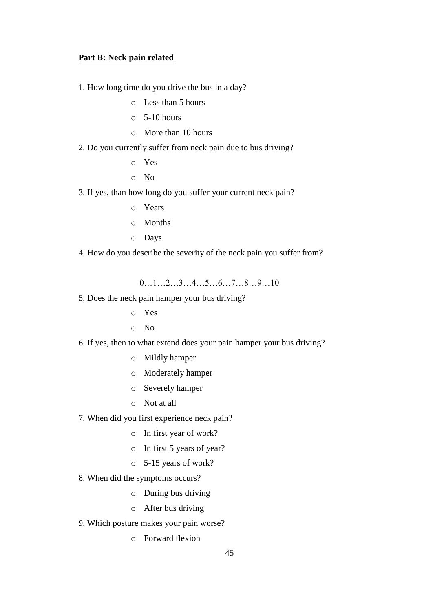#### **Part B: Neck pain related**

1. How long time do you drive the bus in a day?

- o Less than 5 hours
- $\circ$  5-10 hours
- o More than 10 hours
- 2. Do you currently suffer from neck pain due to bus driving?
	- o Yes
	- o No
- 3. If yes, than how long do you suffer your current neck pain?
	- o Years
	- o Months
	- o Days
- 4. How do you describe the severity of the neck pain you suffer from?

0…1…2…3…4…5…6…7…8…9…10

- 5. Does the neck pain hamper your bus driving?
	- o Yes
	- o No
- 6. If yes, then to what extend does your pain hamper your bus driving?
	- o Mildly hamper
	- o Moderately hamper
	- o Severely hamper
	- o Not at all
- 7. When did you first experience neck pain?
	- o In first year of work?
	- o In first 5 years of year?
	- o 5-15 years of work?
- 8. When did the symptoms occurs?
	- o During bus driving
	- o After bus driving
- 9. Which posture makes your pain worse?
	- o Forward flexion